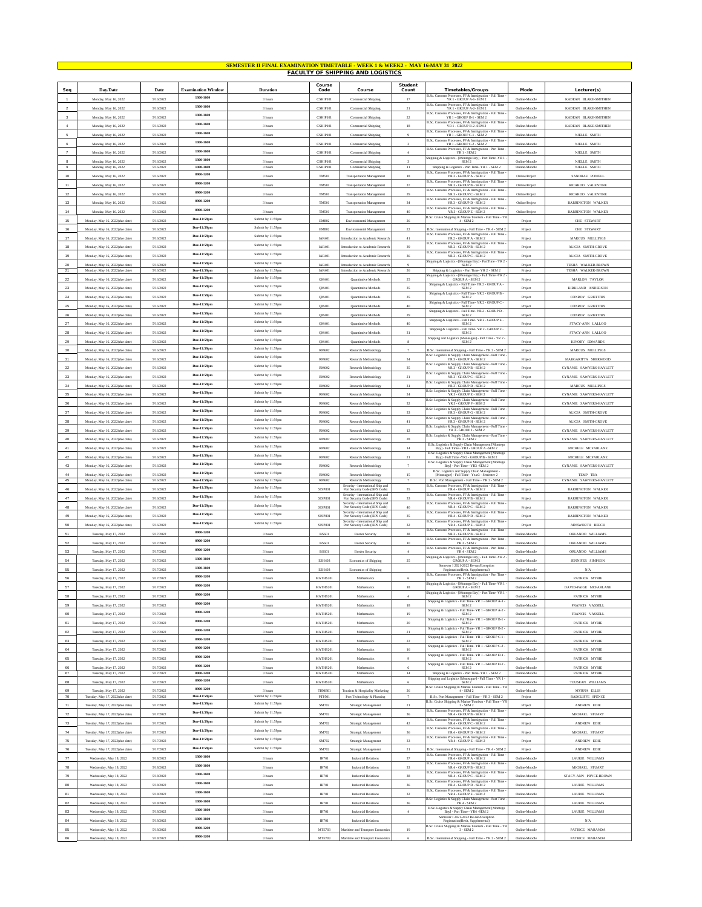|                                           | SEMESTER II FINAL EXAMINATION TIMETABLE - WEEK 1 & WEEK2 - MAY 16-MAY 31 2022<br><b>FACULTY OF SHIPPING AND LOGISTICS</b> |                        |                                        |                                        |                                  |                                                                                                       |                           |                                                                                                                                                                                 |                                  |                                               |  |
|-------------------------------------------|---------------------------------------------------------------------------------------------------------------------------|------------------------|----------------------------------------|----------------------------------------|----------------------------------|-------------------------------------------------------------------------------------------------------|---------------------------|---------------------------------------------------------------------------------------------------------------------------------------------------------------------------------|----------------------------------|-----------------------------------------------|--|
|                                           |                                                                                                                           |                        |                                        |                                        | Course                           |                                                                                                       | <b>Student</b>            |                                                                                                                                                                                 |                                  |                                               |  |
| Seq                                       | Day/Date                                                                                                                  | Date                   | <b>Examination Window</b><br>1300-1600 | Duration                               | Code                             | Course                                                                                                | Count                     | <b>Timetables/Groups</b>                                                                                                                                                        | Mode                             | Lecturer(s)                                   |  |
| $\overline{1}$                            | Monday, May 16, 2022                                                                                                      | 5/16/2022              | 1300-1600                              | 3 hours                                | CSHIP101                         | Commercial Shipping                                                                                   | 17                        | B.Sc. Customs Processes, FF & Immigration - Full Time<br>YR 1 - GROUP A-1- SEM 2<br>B.Sc. Customs Processes, FF & Immigration - Full Time                                       | Online-Moodle                    | KADEAN BLAKE-SMITHEN                          |  |
| $\overline{2}$<br>$\overline{\mathbf{3}}$ | Monday, May 16, 2022                                                                                                      | 5/16/2022              | 1300-1600                              | 3 hours                                | CSHIP101<br>CSHIP101             | Commercial Shipping                                                                                   | 21                        | YR 1 - GROUP A-2- SEM 2<br>B.Sc. Cus<br>ns Processes, FF & Immigration - Full Time                                                                                              | Online-Moodle<br>Online-Moodle   | KADEAN BLAKE-SMITHEN                          |  |
| $\ddot{a}$                                | Monday, May 16, 2022<br>Monday, May 16, 2022                                                                              | 5/16/2022<br>5/16/2022 | 1300-1600                              | 3 hour<br>3 hours                      | CSHIP101                         | Commercial Shipping<br>Commercial Shipping                                                            | $22\,$<br>18              | ${\tt YR1}$ - GROUP B-1 - SEM 2<br>${\rm B.Sc.~Customs~Processes, FF~&\textit{Immigration - Full Time} \label{eq:2.1}$<br>PR 1 - GROUP B-2- SEM 2                               | Online-Moodle                    | KADEAN BLAKE-SMITHEN<br>KADEAN BLAKE-SMITHEN  |  |
| 5                                         | Monday, May 16, 2022                                                                                                      | 5/16/2022              | 1300-1600                              | 3 hours                                | CSHIP101                         | Commercial Shipping                                                                                   | 9                         | B.Sc. Customs Processes, FF & Immigration - Full Time<br>YR 1 - GROUP C-1 - SEM 2                                                                                               | Online-Moodle                    | NJELLE SMITH                                  |  |
| 6                                         | Monday, May 16, 2022                                                                                                      | 5/16/2022              | 1300-1600                              | 3 hours                                | CSHIP101                         | Commercial Shipping                                                                                   | $\overline{\overline{3}}$ | B.Sc. Customs Processes, FF & Immigration - Full Time<br>YR 1 - GROUP C-2 - SEM 2                                                                                               | Online-Moodle                    | NJELLE SMITH                                  |  |
| $\overline{7}$                            | Monday, May 16, 2022                                                                                                      | 5/16/2022              | 1300-1600                              | 3 hours                                | CSHIP101                         | Commercial Shipping                                                                                   | $\ddot{a}$                | B.Sc. Customs Processes, FF & Immigration - Part Time<br><b>YR 1 - SEM 2</b>                                                                                                    | Online-Moodle                    | <b>NJELLE SMITH</b>                           |  |
| $\mathbf{R}$                              | Monday, May 16, 2022                                                                                                      | 5/16/2022              | 1300-1600                              | 3 hour                                 | CSHIP101                         | Commercial Shipping                                                                                   | $\lambda$                 | Shipping & Logistics - [Montego Bay] - Part Time -YR 1<br>SEM <sub>2</sub>                                                                                                      | Online-Moodk                     | NJELLE SMITH                                  |  |
| $9$<br>10                                 | Monday, May 16, 2022                                                                                                      | 5/16/2022<br>5/16/2022 | 1300-1600<br>0900-120                  | 3 hours                                | CSHIP101<br>TM501                | Commercial Shipping                                                                                   | $11\,$<br>18              | Shipping & Logistics - Part Time- YR 1 - SEM 2<br>B.Sc. Customs Processes, FF & Immigration - Full Time<br>YR 3 - GROUP A - SEM 2                                               | Online-Moodle                    | NJELLE SMITH<br>SANDRAE POWELI                |  |
| 11                                        | Monday, May 16, 2022<br>Monday, May 16, 2022                                                                              | 5/16/2022              | 0900-1200                              | 3 hours<br>3 hours                     | TM501                            | Transportation Management<br><b>Transportation Management</b>                                         | $37\,$                    | B.Sc. Customs Processes, FF & Immigration - Full Time $$\mbox{YR}$ 3 - GROUP B - SEM 2                                                                                          | Online/Project<br>Online/Project | RICARDO VALENTINE                             |  |
| 12                                        | Monday, May 16, 2022                                                                                                      | 5/16/2022              | 0900-1200                              | 3 hours                                | TM501                            | <b>Transportation Managemen</b>                                                                       | 29                        | B.Sc. Customs Processes, FF & Immigration - Full Time<br>YR 3 - GROUP C - SEM 2                                                                                                 | Online/Project                   | RICARDO VALENTINE                             |  |
| $13\,$                                    | Monday, May 16, 2022                                                                                                      | 5/16/2022              | 0900-1200                              | 3 hours                                | TM501                            | <b>Transportation Managemen</b>                                                                       | 34                        | B.Sc. Customs Processes, FF & Immigration - Full Time<br>YR 3 - GROUP D - SEM 2                                                                                                 | Online/Project                   | BARRINGTON WALKEI                             |  |
| 14                                        | Monday, May 16, 2022                                                                                                      | 5/16/2022              | 0900-1200                              | 3 hours                                | TM501                            | <b>Transportation Management</b>                                                                      | 40                        | B.Sc. Customs Processes, FF & Immigration - Full Time $\,$ YR $3$ - GROUP E - SEM $2$                                                                                           | Online/Project                   | BARRINGTON WALKER                             |  |
| 15                                        | Monday, May 16, 2022(due date)                                                                                            | 5/16/2022              | Due-11:59pm                            | Submit by 11:59pm                      | EM802                            | Environmental Management                                                                              | 26                        | B.Sc. Cruise Shipping & Marine Tourism - Full Time - YR $4$ - SEM $2$                                                                                                           | Project                          | CHE STEWART                                   |  |
| $16\,$                                    | Monday, May 16, 2022(due date)                                                                                            | 5/16/2022              | Due-11:59pm                            | Submit by 11:59pm                      | EM802                            | Environmental Management                                                                              | $22\,$                    | B.Sc. International Shipping - Full Time - YR 4 - SEM 2<br>B.Sc. Customs Processes, FF & Immigration - Full Time                                                                | Project                          | CHE STEWART                                   |  |
| 17                                        | Monday, May 16, 2022(due date)                                                                                            | 5/16/2022              | Due-11:59pm<br>Due-11:59pm             | Submit by 11:59pm                      | <b>IAR401</b>                    | ntroduction to Academic Research                                                                      | 41                        | YR 2 - GROUP A - SEM 2                                                                                                                                                          | Project                          | MARCUS MULLINGS                               |  |
| 18                                        | Monday, May 16, 2022(due date)                                                                                            | 5/16/2022              | Due-11:59pm                            | Submit by 11:59pm<br>Submit by 11:59pm | <b>IAR401</b>                    | Introduction to Academic Research                                                                     | 39                        | B.Sc. Customs Processes, FF & Immigration - Full Time<br>YR 2 - GROUP B - SEM 2<br>B.Sc. Customs Processes, FF & Immigration - Full Time                                        | Project                          | ALICIA SMITH-GROVE                            |  |
| 19                                        | Monday, May 16, 2022(due date)                                                                                            | 5/16/2022              | Due-11:59pm                            | Submit by 11:59pm                      | <b>IAR401</b>                    | Introduction to Academic Research                                                                     | 36                        | YR 2 - GROUP C - SEM 2<br>Shipping & Logistics - [Montego Bay] - PartTime - YR 2                                                                                                | Project                          | ALICIA SMITH-GROVE                            |  |
| 20<br>$21\,$                              | Monday, May 16, 2022(due date)<br>Monday, May 16, 2022(due date)                                                          | 5/16/2022<br>5/16/2022 | Due-11:59pm                            | Submit by 11:59pm                      | <b>IAR401</b><br><b>IAR401</b>   | troduction to Academic Researc<br>Introduction to Academic Research                                   | $\overline{9}$<br>$26\,$  | SEM <sub>2</sub><br>Shipping & Logistics - Part Time- YR 2 - SEM 2                                                                                                              | Projec<br>Project                | TESHA WALKER-BROWN<br>TESHA WALKER-BROWN      |  |
| $\bf 22$                                  | Monday, May 16, 2022(due date)                                                                                            | 5/16/2022              | Due-11:59pm                            | Submit by 11:59pm                      | QM401                            | Quantitative Methods                                                                                  | $25\,$                    | Shipping & Logistics - [Montego Bay] - Full Time -YR 2<br>GROUP A - SEM 2                                                                                                       | Project                          | MARLON TAYLOR                                 |  |
| $23\,$                                    | Monday, May 16, 2022(due date)                                                                                            | 5/16/2022              | Due-11:59pm                            | Submit by 11:59pm                      | QM401                            | Quantitative Methods                                                                                  | 35                        | Shipping & Logistics - Full Time- YR $2$ - GROUP A - ${\bf SEM}$ 2<br>Shipping & Logistics - Full Time- YR 2 - GROUP B -                                                        | Project                          | KIRKLAND ANDERSON                             |  |
| 24                                        | Monday, May 16, 2022(due date)                                                                                            | 5/16/2022              | Due-11:59pm                            | Submit by 11:59pm                      | OM401                            | Quantitative Methods                                                                                  | 35                        | SEM <sub>2</sub><br>Shipping & Logistics - Full Time- YR 2 - GROUP C -                                                                                                          | Project                          | <b>CONROY GRIFFITHS</b>                       |  |
| 25                                        | Monday, May 16, 2022(due date)                                                                                            | 5/16/2022              | Due-11:59pm                            | Submit by 11:59pm                      | QM401                            | Quantitative Methods                                                                                  | 40                        | SEM 2<br>Shipping & Logistics - Full Time- YR $2$ - GROUP $\mathbb D$ - SEM $2$                                                                                                 | Projec                           | CONROY GRIFFITHS                              |  |
| 26                                        | Monday, May 16, 2022(due date)                                                                                            | 5/16/2022              | Due-11:59pm<br>Due-11:59pm             | Submit by 11:59pm<br>Submit by 11:59pm | QM401                            | Quantitative Methods                                                                                  | 29                        | $\begin{array}{c} \mbox{Shipping &\textbf{Logistics - Full Time- YR 2 - GROUPE - }}\\ \mbox{SEM 2} \end{array}$                                                                 | Project                          | CONROY GRIFFITHS                              |  |
| 27                                        | Monday, May 16, 2022(due date)                                                                                            | 5/16/2022              | Due-11:59pm                            | Submit by 11:59pm                      | QM401                            | Quantitative Methods                                                                                  | 40                        | Shipping & Logistics - Full Time-YR 2 - GROUP F                                                                                                                                 | Project                          | STACY-ANN LALLOO                              |  |
| $_{\rm 28}$<br>29                         | Monday, May 16, 2022(due date)<br>Monday, May 16, 2022(due date)                                                          | 5/16/2022<br>5/16/2022 | Due-11:59pm                            | Submit by 11:59pm                      | QM401<br>OM401                   | Quantitative Methods<br>Quantitative Methods                                                          | $31\,$<br>8               | SEM <sub>2</sub><br>Shipping and Logistics [Moneague] - Full Time - YR 2 -<br>SEM <sub>2</sub>                                                                                  | Project                          | STACY-ANN LALLOO<br>KIVORY EDWARDS            |  |
| 30                                        | Monday, May 16, 2022(due date)                                                                                            | 5/16/2022              | Due-11:59pm                            | Submit by 11:59pm                      | <b>RM602</b>                     | Research Methodology                                                                                  | $\overline{7}$            | B.Sc. International Shipping - Full Time - YR 3 - SEM 2                                                                                                                         | Project<br>Project               | MARCUS MULLINGS                               |  |
| 31                                        | Monday, May 16, 2022(due date)                                                                                            | 5/16/2022              | Due-11:59pm                            | Submit by 11:59pm                      | RM602                            | Research Methodology                                                                                  | 34                        | B.Sc. Logistics & Supply Chain Management - Full Time<br>YR 3 - GROUP A - SEM 2                                                                                                 | Project                          | MARGARITTA SHERWOOD                           |  |
| 32                                        | Monday, May 16, 2022(due date)                                                                                            | 5/16/2022              | Due-11:59pm                            | Submit by 11:59pm                      | <b>RM602</b>                     | Research Methodology                                                                                  | 35                        | B.Sc. Logistics & Supply Chain Management - Full Time<br>YR 3 - GROUP B - SEM 2                                                                                                 | Projec                           | CYNANIE SAWYERS-HAYLETT                       |  |
| 33                                        | Monday, May 16, 2022(due date)                                                                                            | 5/16/2022              | Due-11:59pm                            | Submit by 11:59pm                      | RM602                            | Research Methodology                                                                                  | $\bf{21}$                 | ${\bf B.Sc.~Logistics~\&~Supply~Chain~Management~ - Full~Time} \\ \hline \begin{tabular}{c} YR 3 - GROUP & C- SEM 2 \end{tabular}$                                              | Project                          | CYNANIE SAWYERS-HAYLETT                       |  |
| 34                                        | Monday, May 16, 2022(due date)                                                                                            | 5/16/2022              | Due-11:59pm                            | Submit by 11:59pm                      | <b>RM602</b>                     | Research Methodology                                                                                  | 31                        | B.Sc. Logistics & Supply Chain Management - Full Time ${\rm YR3}$ - GROUP D - SEM $2$                                                                                           | Project                          | MARCUS MULLINGS                               |  |
| 35                                        | Monday, May 16, 2022(due date)                                                                                            | 5/16/2022              | Due-11:59pm                            | Submit by 11:59pm                      | RM602                            | Research Methodology                                                                                  | 24                        | B.Sc. Logistics & Supply Chain Management - Full Time<br>YR 3 - GROUP E - SEM 2                                                                                                 | Project                          | CYNANIE SAWYERS-HAYLETT                       |  |
| 36                                        | Monday, May 16, 2022(due date)                                                                                            | 5/16/2022              | Due-11:59pm                            | Submit by 11:59pm                      | RM602                            | Research Methodology                                                                                  | 32                        | B.Sc. Logistics & Supply Chain Management - Full Time<br>YR 3 - GROUP F - SEM 2<br>B.Sc. Logistics & Supply Chain Management - Full Time                                        | Project                          | CYNANIE SAWYERS-HAYLETT                       |  |
| $37\,$                                    | Monday, May 16, 2022(due date)                                                                                            | 5/16/2022              | Due-11:59pm                            | Submit by 11:59pm                      | <b>RM602</b>                     | Research Methodology                                                                                  | $_{\rm 33}$               | YR 3 - GROUP G - SEM 2                                                                                                                                                          | Project                          | ALICIA SMITH-GROVE                            |  |
| 38                                        | Monday, May 16, 2022(due date)                                                                                            | 5/16/2022              | Due-11:59pm<br>Due-11:59pm             | Submit by 11:59pm<br>Submit by 11:59pm | RM602                            | Research Methodology                                                                                  | 41                        | B.Sc. Logistics & Supply Chain Management - Full Time<br>YR 3 - GROUP H - SEM 2<br>B.Sc. Logistics & Supply Chain Management - Full Time $$\mathrm{YR}\,3$$ - GROUP I - SEM $2$ | Project                          | ALICIA SMITH-GROVE                            |  |
| 39                                        | Monday, May 16, 2022(due date)                                                                                            | 5/16/2022              | Due-11:59pm                            | Submit by 11:59pm                      | <b>RM602</b>                     | Research Methodology                                                                                  | $12\,$                    | B.Sc. Logistics & Supply Chain Management - Part Time                                                                                                                           | Projec                           | CYNANIE SAWYERS-HAYLETT                       |  |
| 40<br>41                                  | Monday, May 16, 2022(due date)<br>Monday, May 16, 2022(due date)                                                          | 5/16/2022<br>5/16/2022 | Due-11:59pm                            | Submit by 11:59pm                      | RM602<br>RM602                   | Research Methodology<br>Research Methodology                                                          | 28<br>14                  | YR 3 - SEM 2<br>B.Sc. Logistics & Supply Chain Management [Montego                                                                                                              | Project                          | CYNANIE SAWYERS-HAYLETT<br>MICHELE MCFARLANE  |  |
| 42                                        | Monday, May 16, 2022(due date)                                                                                            | 5/16/2022              | Due-11:59pm                            | Submit by 11:59pm                      | RM602                            | Research Methodology                                                                                  | $\bf{21}$                 | Bay] - Full Time - YR3 - GROUP A -SEM 2<br>B.Sc. Logistics & Supply Chain Management [Mon Bay] - Full Time -YR3 - GROUP B - SEM 2<br>rnt [Montego                               | Project<br>Projec                | MICHELE MCFARLANE                             |  |
| 43                                        | Monday, May 16, 2022(due date)                                                                                            | 5/16/2022              | Due-11:59pm                            | Submit by 11:59pm                      | RM602                            | Research Methodology                                                                                  |                           | B.Sc. Logistics & Supply Chain Management [Montego<br>Bay] - Part Time - YR3 -SEM 2                                                                                             | Projec                           | CYNANIE SAWYERS-HAYLETT                       |  |
| 44                                        | Monday, May 16, 2022(due date)                                                                                            | 5/16/2022              | Due-11:59pm                            | Submit by 11:59pm                      | <b>RM602</b>                     | Research Methodology                                                                                  | 15                        | B.Sc. Logistics and Supply Chain Management [Moneague] - Full Time - Year<br>3 - Semester $2\,$                                                                                 | Project                          | TEMP TBA                                      |  |
| 45                                        | Monday, May 16, 2022(due date)                                                                                            | 5/16/2022              | Due-11:59pm                            | Submit by 11:59pm                      | RM602                            | Research Methodology<br>Security - International Ship and                                             |                           | B.Sc. Port Management - Full Time - ${\bf YR}$ 3 - ${\bf SEM}$ 2<br>B.Sc. Customs Processes, FF & Immigration - Full Time                                                       | Project                          | CYNANIE SAWYERS-HAYLETT                       |  |
| 46                                        | Monday, May 16, 2022(due date)                                                                                            | 5/16/2022              | Due-11:59pm<br>Due-11:59pm             | Submit by 11:59pm<br>Submit by 11:59pm | <b>SISP801</b>                   | Port Security Code (ISPS Code)<br>Security - International Ship and<br>Port Security Code (ISPS Code) | 35                        | YR4 - GROUP A - SEM 2<br>B.Sc. Customs Processes, FF & Immigration - Full Time<br>YR 4 - GROUP B - SEM 2                                                                        | Project                          | <b>BARRINGTON WALKER</b>                      |  |
| 47<br>48                                  | Monday, May 16, 2022(due date)                                                                                            | 5/16/2022              | Due-11:59pm                            | Submit by 11:59pm                      | <b>SISP801</b>                   | Security - International Shin and                                                                     | 33                        | B.Sc. Customs Processes, FF & Immigration - Full Time                                                                                                                           | Project                          | BARRINGTON WALKER                             |  |
| 49                                        | Monday, May 16, 2022(due date)<br>Monday, May 16, 2022(due date)                                                          | 5/16/2022<br>5/16/2022 | Due-11:59pm                            | Submit by 11:59pm                      | <b>SISP801</b><br><b>SISP801</b> | Port Security Code (ISPS Code)<br>Security - International Ship and<br>Port Security Code (ISPS Code) | 40<br>35                  | YR 4 - GROUP C - SEM 2<br><b>B.Sc. Cust</b><br>as Processes, FF & Immigration - Full Time<br>YR 4 - GROUP D - SEM 2                                                             | Project<br>Project               | BARRINGTON WALKER<br><b>BARRINGTON WALKER</b> |  |
| 50                                        | Monday, May 16, 2022(due date)                                                                                            | 5/16/2022              | Due-11:59pm                            | Submit by 11:59pm                      | <b>SISP801</b>                   | Security - International Ship and<br>Port Security Code (ISPS Code)                                   | $_{32}$                   | B.Sc. Customs Processes, FF & Immigration - Full Time<br>YR 4 - GROUP E - SEM 2                                                                                                 | Project                          | AINSWORTH BEECH                               |  |
| $\mathsf{51}$                             | Tuesday, May 17, 2022                                                                                                     | 5/17/2022              | 0900-1200                              | 3 hours                                | <b>BS601</b>                     | <b>Border Security</b>                                                                                | 38                        | B.Sc. Customs Processes, FF & Immigration - Full Time<br>YR 3 - GROUP B - SEM 2                                                                                                 | Online-Moodle                    | ORLANDO WILLIAMS                              |  |
| 52                                        | Tuesday, May 17, 2022                                                                                                     | 5/17/2022              | 0900-1200                              | 3 hours                                | <b>BS601</b>                     | <b>Border Security</b>                                                                                | 10                        | B.Sc. Customs Processes, FF & Immigration - Part Time<br>VR <sub>3</sub> , SEM <sub>2</sub>                                                                                     | Online-Moodle                    | ORLANDO WILLIAMS                              |  |
| 53                                        | Tuesday, May 17, 2022                                                                                                     | 5/17/2022              | 0900-1200                              | 3 hours                                | <b>BS601</b>                     | <b>Border Security</b>                                                                                | A                         | B.Sc. Customs Processes, FF & Immigration - Part Time<br>YR 4 - SEM 2                                                                                                           | Online-Moodle                    | ORLANDO WILLIAMS                              |  |
| 54                                        | Tuesday, May 17, 2022                                                                                                     | 5/17/2022              | 1300-1600                              | 3 hours                                | <b>ESH403</b>                    | Economics of Shipping                                                                                 | $2\mathrm{S}$             | $\begin{array}{c} \mbox{Shipping & Logistics - [Montego Bay] - Full Time -YR 2}\\ \mbox{GROUP A - SEM 2} \end{array}$<br>Semester I 2021-2022 Re-run/Exception                  | Online-Moodk                     | JENNIFER SIMPSON                              |  |
| 55                                        | Tuesday, May 17, 2022                                                                                                     | 5/17/2022              | 1300-1600                              | 3 hours                                | <b>ESH403</b>                    | Economics of Shipping                                                                                 |                           | Registration(Resit, Supplemental)<br>B.Sc. Customs Processes, FF & Immigration - Part Time                                                                                      | Online-Moodle                    | N/A                                           |  |
|                                           | Tuesday, May 17, 2022                                                                                                     |                        | 0900-1200                              | 3 hour                                 | MATHS201                         | Mathematics                                                                                           |                           | <b>YR 1 - SEM 2</b><br>Shipping & Logistics - [Montego Bay] - Full Time -YR 1                                                                                                   | Online-Moodk                     | <b>PATRICK MYRIE</b>                          |  |
| 57                                        | Tuesday, May 17, 2022                                                                                                     | 5/17/2022              | 0900-1200                              | 3 hours                                | MATHS201                         | Mathematics                                                                                           | 18                        | <b>GROUP A - SEM 2</b><br>Shipping & Logistics - [Montego Bay] - Part Time -YR 1 -                                                                                              | Online-Moodle                    | DAVID-PAIGE MCFARLANE                         |  |
| 58<br>59                                  | Tuesday, May 17, 2022                                                                                                     | 5/17/2022<br>5/17/2022 | 0900-1200                              | 3 hours                                | MATHS201                         | Mathematics<br>Mathematics                                                                            | 4<br>18                   | SEM <sub>2</sub><br>$\begin{array}{c} \mbox{Shipping & \textbf{Logistics - Full Time- YR 1 - GROUP A-1} }\\ \mbox{SEM 2} \end{array}$                                           | Online-Moodle<br>Online-Moodk    | PATRICK MYRIE                                 |  |
| 60                                        | Tuesday, May 17, 2022<br>Tuesday, May 17, 2022                                                                            | 5/17/2022              | 0900-1200                              | 3 hour<br>3 hours                      | MATHS201<br>MATHS201             | Mathematics                                                                                           | 19                        | Shipping & Logistics - Full Time- YR 1 - GROUP A-2 - ${\bf SEM}\,2$                                                                                                             | Online-Moodle                    | FRANCIS VASSELL<br>FRANCIS VASSELI            |  |
| 61                                        | Tuesday, May 17, 2022                                                                                                     | 5/17/2022              | 0900-1200                              | 3 hours                                | MATHS201                         | Mathematics                                                                                           | $20\,$                    | Shipping & Logistics - Full Time-YR 1 - GROUP B-1 -<br>SEM <sub>2</sub>                                                                                                         | Online-Moodle                    | PATRICK MYRIE                                 |  |
| 62                                        | Tuesday, May 17, 2022                                                                                                     | 5/17/2022              | 0900-1200                              | 3 hours                                | MATHS201                         | Mathematics                                                                                           | 21                        | Shipping & Logistics - Full Time-YR 1 - GROUP B-2 -<br>SEM <sub>2</sub>                                                                                                         | Online-Moodle                    | PATRICK MYRIE                                 |  |
| 63                                        | Tuesday, May 17, 2022                                                                                                     | 5/17/2022              | 0900-1200                              | 3 hours                                | MATHS201                         | Mathematics                                                                                           | 22                        | Shipping & Logistics - Full Time- YR 1 - GROUP C-1 - SEM 2                                                                                                                      | Online, Moodle                   | PATRICK MYRIE                                 |  |
| 64                                        | Tuesday, May 17, 2022                                                                                                     | 5/17/2022              | 0900-1200                              | 3 hours                                | MATHS201                         | Mathematics                                                                                           | 16                        | Shipping & Logistics - Full Time-YR 1 - GROUP C-2 -<br>SEM 2                                                                                                                    | Online-Moodle                    | PATRICK MYRIE                                 |  |
| 65                                        | Tuesday, May 17, 2022                                                                                                     | 5/17/2022              | 0900-1200                              | 3 hours                                | MATHS201                         | Mathematics                                                                                           | 9                         | $\begin{array}{l} \mbox{Shipping & Logistics - Full Time- YR 1 - GROUP D-1}\\ \mbox{SEM 2} \end{array} .$<br>Shipping & Logistics - Full Time-YR 1 - GROUP D-2 -                | Online-Moodle                    | PATRICK MYRIE                                 |  |
| 66<br>67                                  | Tuesday, May 17, 2022<br>Tuesday, May 17, 2022                                                                            | 5/17/2022<br>5/17/2022 | 0900-1200<br>0900-1200                 | 3 hours<br>3 hours                     | MATHS201<br>MATHS201             | Mathematics<br>Mathematics                                                                            | 14                        | SEM <sub>2</sub><br>Shipping & Logistics - Part Time- YR 1 - SEM 2                                                                                                              | Online-Moodle<br>Online-Moodle   | PATRICK MYRIE<br>PATRICK MYRIE                |  |
| 68                                        | Tuesday, May 17, 2022                                                                                                     | 5/17/2022              | 0900-1200                              | 3 hours                                | MATHS201                         | Mathematics                                                                                           | 6                         | Shipping and Logistics [Moneague] - Full Time - YR 1 - SEM 2                                                                                                                    | Online-Moodle                    | TOUSEAN WILLIAMS                              |  |
| 69                                        | Tuesday, May 17, 2022                                                                                                     | 5/17/2022              | 0900-1200                              | 3 hours                                | THM801                           | Fourism & Hospitality Marketi                                                                         | 26                        | B.Sc. Cruise Shipping & Marine Tourism - Full Time - YR<br>4 - SEM 2                                                                                                            | Online-Moodk                     | MYRNA ELLIS                                   |  |
| 70                                        | Tuesday, May 17, 2022(due date)                                                                                           | 5/17/2022              | Due-11:59pm                            | Submit by 11:59pm                      | PTP501                           | Port Technology & Planning                                                                            |                           | B.Sc. Port Management - Full Time - YR 3 - SEM 2<br>B.Sc. Cruise Shipping & Marine Tourism - Full Time - YR                                                                     | Project                          | RADCLIFFE SPENCE                              |  |
| 71                                        | Tuesday, May 17, 2022(due date)                                                                                           | 5/17/2022              | Due-11:59pm<br>Due-11:59pm             | Submit by 11:59pm<br>Submit by 11:59pm | SM702                            | Strategic Management                                                                                  | $21\,$                    | 3 - SEM 2<br>B.Sc. Customs Processes, FF & Immigration - Full Time<br>YR 4 - GROUP B - SEM 2                                                                                    | Project                          | ANDREW EDIE                                   |  |
| $72\,$                                    | Tuesday, May 17, 2022(due date)                                                                                           | 5/17/2022              | Due-11:59pm                            | Submit by 11:59pm                      | SM702                            | Strategic Management                                                                                  | 36                        | B.Sc. Customs Processes, FF & Immigration - Full Time                                                                                                                           | Project                          | MICHAEL STUART                                |  |
| 73<br>74                                  | Tuesday, May 17, 2022(due date)                                                                                           | 5/17/2022              | Due-11:59pm                            | Submit by 11:59pm                      | SM702<br>SM702                   | Strategic Management                                                                                  | 42<br>36                  | YR 4 - GROUP C - SEM 2<br>B.Sc. Customs Processes, FF & Immigration - Full Time ${\rm YR4}$ - GROUP D - SEM 2                                                                   | Project                          | ANDREW EDIE                                   |  |
| 75                                        | Tuesday, May 17, 2022(due date)<br>Tuesday, May 17, 2022(due date)                                                        | 5/17/2022<br>5/17/2022 | Due-11:59pm                            | Submit by 11:59pm                      | SM702                            | Strategic Managemen<br>Strategic Management                                                           | 33                        | B.Sc. Customs Processes, FF & Immigration - Full Time $$\rm YR\,4$ - GROUP E - SEM $2$                                                                                          | Project<br>Project               | MICHAEL STUART<br>ANDREW EDIE                 |  |
| ${\bf 76}$                                | Tuesday, May 17, 2022(due date)                                                                                           | 5/17/2022              | Due-11:59pm                            | Submit by 11:59pm                      | SM702                            | Strategic Management                                                                                  | $\bf{21}$                 | B.Sc. International Shipping - Full Time - YR 4 - SEM 2                                                                                                                         | Projec                           | ANDREW EDIE                                   |  |
| 77                                        | Wednesday, May 18, 2022                                                                                                   | 5/18/2022              | 1300-1600                              | 3 hours                                | IR701                            | <b>Industrial Relations</b>                                                                           | 37                        | B.Sc. Customs Processes, FF & Immigration - Full Time ${\rm YR}$ 4 - GROUP A - SEM 2                                                                                            | Online-Moodle                    | LAURIE WILLIAMS                               |  |
| 78                                        | Wednesday, May 18, 2022                                                                                                   | 5/18/2022              | 1300-1600                              | 3 hours                                | IR701                            | <b>Industrial Relations</b>                                                                           | 33                        | B.Sc. Customs Processes, FF & Immigration - Full Time<br>YR 4 - GROUP B - SEM 2                                                                                                 | Online-Moodle                    | MICHAEL STUART                                |  |
| 79                                        | Wednesday, May 18, 2022                                                                                                   | 5/18/2022              | 1300-1600                              | 3 hours                                | IR701                            | Industrial Relations                                                                                  | 38                        | B.Sc. Customs Processes, FF & Immigration - Full Time<br>YR 4 - GROUP C - SEM 2                                                                                                 | Online-Moodle                    | STACY-ANN PRYCE-BROWN                         |  |
| 80                                        | Wednesday, May 18, 2022                                                                                                   | 5/18/2022              | 1300-1600                              | 3 hours                                | IR701                            | Industrial Relations                                                                                  | 36                        | B.Sc. Customs Processes, FF & Immigration - Full Time<br>YR 4 - GROUP D - SEM 2                                                                                                 | Online-Moodle                    | LAURIE WILLIAMS                               |  |
| 81                                        | Wednesday, May 18, 2022                                                                                                   | 5/18/2022              | 1300-1600                              | 3 hour                                 | IR701                            | <b>Industrial Relations</b>                                                                           | $32\,$                    | B.Sc. Customs Processes, FF & Immigration - Full Time<br>YR 4 - GROUP E - SEM 2                                                                                                 | Online-Moodle                    | LAURIE WILLIAMS                               |  |
| 82                                        | Wednesday, May 18, 2022                                                                                                   | 5/18/2022              | 1300-1600<br>1300-1600                 | $3$ hours                              | IR701                            | <b>Industrial Relations</b>                                                                           | 36                        | B.Sc. Logistics & Supply Chain Management - Part Time $$\rm YR\,4$$ - ${\rm SEM\,2}$$<br>B.Sc. Logistics & Supply Chain Management [Montego                                     | Online-Moodle                    | LAURIE WILLIAMS                               |  |
| 83                                        | Wednesday, May 18, 2022                                                                                                   | 5/18/2022              | 1300-1600                              | 3 hours                                | IR701                            | Industrial Relations                                                                                  | 4                         | Bay] - Part Time - YR4 -SEM 2<br>Semester I 2021-2022 Re-run/Exception                                                                                                          | Online-Moodle                    | LAURIE WILLIAMS                               |  |
| $^{\rm 84}$<br>85                         | Wednesday, May 18, 2022                                                                                                   | 5/18/2022              | 0900-1200                              | 3 hours                                | IR701                            | <b>Industrial Relations</b>                                                                           |                           | Registration(Resit, Supplemental)<br>B.Sc. Cruise Shipping & Marine Tourism - Full Time - YF                                                                                    | Online-Moodle<br>Online-Moodle   | N/A                                           |  |
| 86                                        | Wednesday, May 18, 2022<br>Wednesday, May 18, 2022                                                                        | 5/18/2022<br>5/18/2022 | 0900-1200                              | 3 hours<br>3 hours                     | MTE703<br>MTE703                 | Maritime and Transport Economics<br>Maritime and Transport Eco                                        | 19<br>6                   | $3 - SEM2$<br>B.Sc. International Shipping - Full Time - YR 3 - SEM 2                                                                                                           | Online-Moodle                    | PATRICE MARANDA<br>PATRICE MARANDA            |  |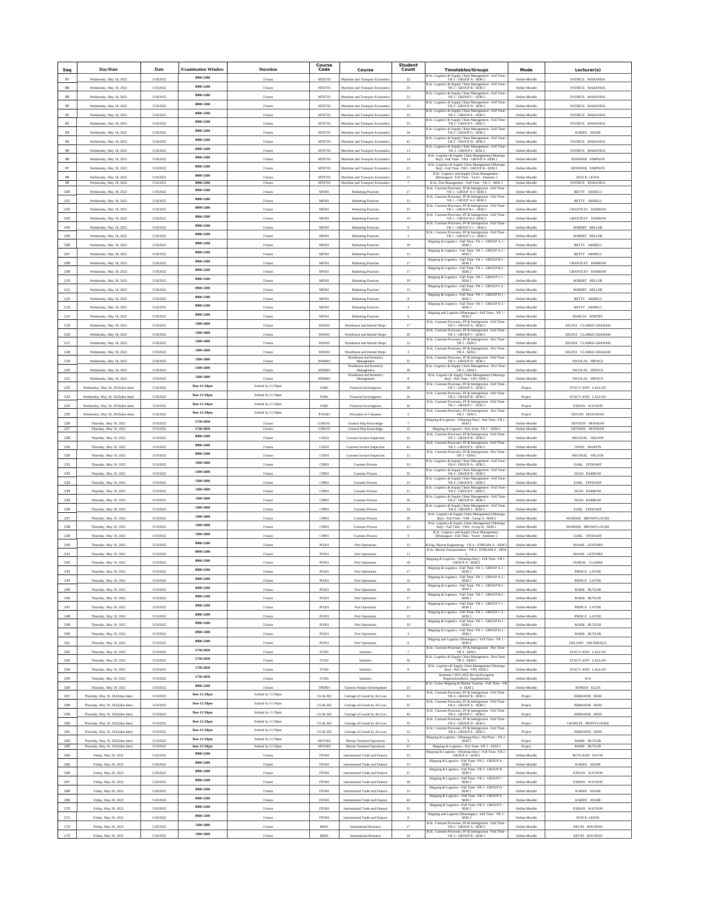| Seq        | Day/Date                                                             | Date                   | <b>Examination Window</b>  | <b>Duration</b>                        | Course<br>Code          | Course                                                               | <b>Student</b><br>Count | <b>Timetables/Groups</b>                                                                                                                                                                    | Mode                           | Lecturer(s)                                  |
|------------|----------------------------------------------------------------------|------------------------|----------------------------|----------------------------------------|-------------------------|----------------------------------------------------------------------|-------------------------|---------------------------------------------------------------------------------------------------------------------------------------------------------------------------------------------|--------------------------------|----------------------------------------------|
| 87         | Wednesday, May 18, 2022                                              | 5/18/2022              | 0900-1200                  | 3 hours                                | <b>MTE703</b>           | Maritime and Transport Economic                                      | 32                      | B.Sc. Logistics & Supply Chain Management - Full Time<br>YR 3 - GROUP A - SEM 2                                                                                                             | Online-Moodle                  | PATRICE MARANDA                              |
| 88         | Wednesday, May 18, 2022                                              | 5/18/2022              | 0900-1200                  | 3 hours                                | <b>MTE703</b>           | Maritime and Transport Economic                                      | 34                      | B.Sc. Logistics & Supply Chain Management - Full Time<br>YR 3 - GROUP B - SEM 2                                                                                                             | Online-Moodle                  | PATRICE MARANDA                              |
| 89         | Wednesday, May 18, 2022                                              | 5/18/2022              | 0900-1200                  | 3 hours                                | MTE703                  | Maritime and Transport Econor                                        | $\boldsymbol{22}$       | B.Sc. Logistics & Supply Chain Management - Full Time<br>YR 3 - GROUP C - SEM 2                                                                                                             | Online-Moodk                   | PATRICE MARAND/                              |
| 90         | Wednesday, May 18, 2022                                              | 5/18/2022              | 0900-1200                  | 3 hours                                | <b>MTE703</b>           | Maritime and Transport Economics                                     | 33                      | B.Sc. Logistics & Supply Chain Management - Full Time<br>YR 3 - GROUP D - SEM 2                                                                                                             | Online-Moodle                  | PATRICE MARANDA                              |
| 91         | Wednesday, May 18, 2022                                              | 5/18/2022              | 0900-1200                  | 3 hours                                | MTE703                  | Maritime and Transport Economic                                      | 25                      | B.Sc. Logistics & Supply Chain Management - Full Time<br>YR 3 - GROUP E - SEM 2                                                                                                             | Online-Moodle                  | PATRICE MARANDA                              |
| 92         | Wednesday, May 18, 2022                                              | 5/18/2022              | 0900-1200                  | 3 hours                                | <b>MTE703</b>           | Maritime and Transport Economic                                      | $_{33}$                 | B.Sc. Logistics & Supply Chain Management - Full Time<br>YR 3 - GROUP F - SEM 2                                                                                                             | Online-Moodle                  | PATRICE MARANDA                              |
| 93         | Wednesday, May 18, 2022                                              | 5/18/2022              | 0900-1200                  | 3 hours                                | <b>MTE703</b>           | Maritime and Transport Economics                                     | 34                      | B.Sc. Logistics & Supply Chain Management - Full Time<br>YR 3 - GROUP G - SEM 2                                                                                                             | Online-Moodle                  | <b>KAREN ADAIR</b>                           |
| 94         | Wednesday, May 18, 2022                                              | 5/18/2022              | 0900-1200                  | 3 hours                                | MTE703                  | Maritime and Transport Economic                                      | 42                      | B.Sc. Logistics & Supply Chain Management - Full Time<br>YR 3 - GROUP H - SEM 2                                                                                                             | Online-Moodle                  | PATRICE MARANDA                              |
| 95         | Wednesday, May 18, 2022                                              | 5/18/2022              | 0900-1200                  | 3 hours                                | <b>MTE703</b>           | Maritime and Transport Economic                                      | $11$                    | B.Sc. Logistics & Supply Chain Management - Full Time<br>YR 3 - GROUP I - SEM 2                                                                                                             | Online-Moodle                  | PATRICE MARANDA                              |
| 96         | Wednesday, May 18, 2022                                              | 5/18/2022              | 0900-1200                  | 3 hours                                | <b>MTE703</b>           | Maritime and Transport Economics                                     | 14                      | B.Sc. Logistics & Supply Chain Management [Montego Bay] - Full Time - YR3 - GROUP A -SEM 2                                                                                                  | Online-Moodle                  | <b>JENNIFER SIMPSON</b>                      |
| 97         | Wednesday, May 18, 2022                                              | 5/18/2022              | 0900-1200                  | 3 hours                                | MTE703                  | Maritime and Transport Economic                                      | $22\,$                  | B.Sc. Logistics & Supply Chain Management [Montego Bay] - Full Time -YR3 - GROUP B - SEM 2<br>B.Sc. Logistics and Supply Chain Management                                                   | Online-Moodle                  | <b>JENNIFER SIMPSON</b>                      |
| 98<br>99   | Wednesday, May 18, 2022<br>Wednesday, May 18, 2022                   | 5/18/2022<br>5/18/2022 | 0900-1200<br>0900-1200     | 3 hours<br>3 hours                     | <b>MTE703</b><br>MTE703 | Maritime and Transport Economics<br>Maritime and Transport Economics | 15<br>$\mathcal{I}$     | [Moneague] - Full Time - Year3 - Semester 2<br>B.Sc. Port Management - Full Time - YR 3 - SEM 2                                                                                             | Online-Moodle<br>Online-Moodle | <b>DON R. LEWIS</b><br>PATRICE MARANDA       |
| 100        | Wednesday, May 18, 2022                                              | 5/18/2022              | 0900-1200                  | 3 hours                                | MP201                   | Marketing Practices                                                  | 17                      | B.Sc. Customs Processes, FF & Immigration - Full Time<br>YR 1 - GROUP A-1- SEM 2                                                                                                            | Online-Moodle                  | BETTY ARHELO                                 |
| 101        | Wednesday, May 18, 2022                                              | 5/18/2022              | 0900-1200                  | 3 hours                                | MP201                   | Marketing Practices                                                  | $22\,$                  | B.Sc. Customs Processes, FF & Immigration - Full Time<br>YR 1 - GROUP A-2- SEM 2                                                                                                            | Online-Moodle                  | BETTY ARHELO                                 |
| 102        | Wednesday, May 18, 2022                                              | 5/18/2022              | 0900-1200                  | 3 hours                                | MP201                   | Marketing Practices                                                  | $23\,$                  | B.Sc. Customs Processes, FF & Immigration - Full Time<br>YR 1 - GROUP B-1 - SEM 2                                                                                                           | Online-Moodle                  | <b>GRANTLEY HARROW</b>                       |
| 103        | Wednesday, May 18, 2022                                              | 5/18/2022              | 0900-1200                  | 3 hours                                | MP201                   | Marketing Practices                                                  | 19                      | B.Sc. Customs Processes, FF & Immigration - Full Time<br>YR 1 - GROUP B-2- SEM 2                                                                                                            | Online-Moodle                  | <b>GRANTLEY HARROW</b>                       |
| $104\,$    | Wednesday, May 18, 2022                                              | 5/18/2022              | 0900-1200                  | 3 hours                                | MP201                   | Marketing Practices                                                  |                         | B.Sc. Customs Processes. FF & Immigration - Full Time<br>YR 1 - GROUP C-1 - SEM 2                                                                                                           | Online-Moodk                   | ROBERT MILLER                                |
| 105        | Wednesday, May 18, 2022                                              | 5/18/2022              | 0900-1200                  | 3 hours                                | MP201                   | Marketing Practices                                                  |                         | B.Sc. Customs Processes, FF & Immigration - Full Time $$\rm YR\ 1$ - GROUP C-2 - SEM 2                                                                                                      | Online-Moodle                  | ROBERT MILLER                                |
| 106        | Wednesday, May 18, 2022                                              | 5/18/2022              | 0900-1200                  | 3 hours                                | MP201                   | Marketing Practices                                                  | 18                      | $\begin{array}{c} \mbox{Shipping &\textbf{Logistics - Full Time- YR 1 - GROUP A-1} }\\ \mbox{SEM 2} \end{array}$                                                                            | Online-Moodle                  | BETTY ARHELO                                 |
| 107        | Wednesday, May 18, 2022                                              | 5/18/2022              | 0900-1200                  | 3 hours                                | MP201                   | Marketing Practices                                                  | 15                      | Shipping & Logistics - Full Time-YR 1 - GROUP A-2 -<br>SEM <sub>2</sub><br>Shipping & Logistics - Full Time-YR 1 - GROUP B-1 -                                                              | Online-Moodle                  | BETTY ARHELO                                 |
| 108        | Wednesday, May 18, 2022                                              | 5/18/2022              | 0900-1200                  | 3 hours                                | MP201                   | Marketing Practices                                                  | 17                      | SEM <sub>2</sub><br>Shipping & Logistics - Full Time-YR 1 - GROUP B-2                                                                                                                       | Online-Moodle                  | <b>GRANTLEY HARROW</b>                       |
| 109        | Wednesday, May 18, 2022                                              | 5/18/2022              | 0900-1200                  | 3 hours                                | MP201                   | Marketing Practices                                                  | 17                      | SEM <sub>2</sub><br>Shipping & Logistics - Full Time- YR 1 - GROUP C-1 -                                                                                                                    | Online-Moodle                  | <b>GRANTLEY HARROW</b>                       |
| 110        | Wednesday, May 18, 2022                                              | 5/18/2022              | 0900-1200                  | 3 hours                                | MP201                   | Marketing Practices                                                  | 19                      | SEM <sub>2</sub>                                                                                                                                                                            | Online-Moodle                  | ROBERT MILLER                                |
| 111        | Wednesday, May 18, 2022                                              | 5/18/2022              | 0900-1200<br>0900-1200     | 3 hours                                | MP201                   | Marketing Practices                                                  | 15                      | $\begin{array}{l} \mbox{Shipping & Logistics - Full Time- YR 1 - GROUP C-2}\\ \mbox{SEM 2} \end{array}$<br>Shipping & Logistics - Full Time- YR $1$ - GROUP $\mathbb{D}\text{-}1$ - SEM $2$ | Online-Moodle                  | ROBERT MILLER                                |
| 112        | Wednesday, May 18, 2022                                              | 5/18/2022              | 0900-1200                  | 3 hours                                | MP201                   | Marketing Practices                                                  | 8                       | Shipping & Logistics - Full Time-YR 1 - GROUP D-2 -                                                                                                                                         | Online-Moodle                  | BETTY ARHELO                                 |
| 113        | Wednesday, May 18, 2022                                              | 5/18/2022              | 0900-1200                  | 3 hours                                | MP201                   | Marketing Practices                                                  |                         | SEM <sub>2</sub><br>Shipping and Logistics [Moneague] - Full Time - YR 1                                                                                                                    | Online-Moodle                  | BETTY ARHELO                                 |
| 114        | Wednesday, May 18, 2022                                              | 5/18/2022              | 1300-1600                  | 3 hours                                | MP201                   | Marketing Practices                                                  | 6                       | SEM <sub>2</sub><br>B.Sc. Customs Processes, FF & Immigration - Full Time                                                                                                                   | Online-Moodle                  | MARCIA WHITBY                                |
| 115        | Wednesday, May 18, 2022                                              | 5/18/2022              | 1300-1600                  | 3 hours                                | WIS401                  | Warehouse and Inbond Shops                                           | 17                      | YR 3 - GROUP A - SEM 2<br>B.Sc. Customs Processes, FF & Immigration - Full Time $$\mbox{YR}~3$$ - GROUP C - SEM 2                                                                           | Online-Moodle                  | SELINA CLARKE-GRAHAM                         |
| 116        | Wednesday, May 18, 2022                                              | 5/18/2022              | 1300-1600                  | 3 hours                                | WIS401                  | Warehouse and Inbond Shops                                           | 30                      | B.Sc. Customs Processes, FF & Immigration - Part Time<br>YR 3 - SEM 2                                                                                                                       | Online-Moodl                   | SELINA CLARKE-GRAHAM                         |
| 117<br>118 | Wednesday, May 18, 2022<br>Wednesday, May 18, 2022                   | 5/18/2022<br>5/18/2022 | 1300-1600                  | 3 hours<br>3 hours                     | WIS401<br>WIS401        | Warehouse and Inbond Shops<br>Warehouse and Inbond Shops             | 12                      | B.Sc. Customs Processes, FF & Immigration - Part Time<br>YR 4 - SEM 2                                                                                                                       | Online-Moodle<br>Online-Moodle | SELINA CLARKE-GRAHAM<br>SELINA CLARKE-GRAHAM |
| 119        | Wednesday, May 18, 2022                                              | 5/18/2022              | 1300-1600                  | 3 hours                                | <b>WIM601</b>           | Warehouse and Inventory<br>Management                                | 35                      | B.Sc. Customs Processes, FF & Immigration - Full Time -<br>YR3 - GROUP D - SEM 2                                                                                                            | Online-Moodle                  | NICOLAS SPENCE                               |
| 120        | Wednesday, May 18, 2022                                              | 5/18/2022              | 1300-1600                  | 3 hours                                | WIM601                  | Warehouse and Inventory<br>Management                                | 30                      | B.Sc. Logistics & Supply Chain Management - Part Time $$\rm YR\,3$ - SEM $2$                                                                                                                | Online-Moodle                  | NICOLAS SPENCE                               |
| 121        | Wednesday, May 18, 2022                                              | 5/18/2022              | 1300-1600                  | 3 hour                                 | WIM601                  | Warehouse and Inventory<br>Management                                |                         | ${\rm B.Sc.~Logistics~\&~Supply~Chain~Management~[Monrego~Bay]~ - Part~Time~ - YR3~-SEM~2}$                                                                                                 | Online-Moodk                   | NICOLAS SPENCE                               |
| 122        | Wednesday, May 18, 2022(due date)                                    | 5/18/2022              | Due-11:59pm                | Submit by 11:59pm                      | FI401                   | Financial Investigation                                              | 38                      | B.Sc. Customs Processes, FF & Immigration - Full Time $$\mathrm{YR}\,2$$ - GROUP A - SEM $2$                                                                                                | Project                        | STACY-ANN LALLOC                             |
| 123        | Wednesday, May 18, 2022(due date)                                    | 5/18/2022              | Due-11:59pm                | Submit by 11:59pm                      | FI401                   | Financial Investigation                                              | 36                      | ms Processes, FF & Immigration - Full Time<br><b>B.Sc. Custo</b><br>YR 2 - GROUP B - SEM 2                                                                                                  | Project                        | STACY-ANN LALLOO                             |
| 124        | Wednesday, May 18, 2022(due date)                                    | 5/18/2022              | Due-11:59pm                | Submit by 11:59pm                      | FI401                   | Financial Investigation                                              | 36                      | B.Sc. Customs Processes, FF & Immigration - Full Time<br>YR 2 - GROUP C - SEM 2                                                                                                             | Project                        | <b>JODIAN WATSON</b>                         |
| 125        | Wednesday, May 18, 2022(due date)                                    | 5/18/2022              | Due-11:59pm                | Submit by 11:59pm                      | <b>PVE401</b>           | Principles of Valuation                                              |                         | B.Sc. Customs Processes, FF & Immigration - Part Time<br>YR 2 - SEM 2                                                                                                                       | Project                        | DEVON MANAHAN                                |
| 126        | Thursday, May 19, 2022                                               | 5/19/2022              | 1730-2030                  | 3 hour                                 | GSK101                  | General Ship Knowledge                                               |                         | Shipping & Logistics - [Montego Bay] - Part Time -YR 1 -<br>SEM <sub>2</sub>                                                                                                                | Online-Moodl                   | DEVRON NEWMAN                                |
| 127        | Thursday, May 19, 2022                                               | 5/19/2022              | 1730-2030<br>0900-1200     | 3 hours                                | GSK101                  | General Ship Knowledge                                               | 15                      | Shipping & Logistics - Part Time- YR 1 - SEM 2<br>B.Sc. Customs Processes, FF & Immigration - Full Time                                                                                     | Online-Moodle                  | DEVRON NEWMAN                                |
| 128<br>129 | Thursday, May 19, 2022                                               | 5/19/2022              | 0900-1200                  | 3 hours                                | CH501<br>CII501         | Customs Invoice Inspection                                           | 35<br>$42\,$            | YR 3 - GROUP B - SEM 2<br>B.Sc. Customs Processes, FF & Immigration - Full Time<br>YR 3 - GROUP E - SEM 2                                                                                   | Online-Moodle                  | MICHAEL WILSON<br>ONEIL MARTIN               |
| 130        | Thursday, May 19, 2022<br>Thursday, May 19, 2022                     | 5/19/2022<br>5/19/2022 | 0900-1200                  | 3 hours<br>3 hours                     | CII501                  | Customs Invoice Inspection<br>Customs Invoice Inspection             | 12                      | B.Sc. Customs Processes, FF & Immigration - Part Time -<br>YR 3 - SEM 2                                                                                                                     | Online-Moodle<br>Online-Moodle | MICHAEL WILSON                               |
| $131\,$    | Thursday, May 19, 2022                                               | 5/19/2022              | 1300-1600                  | 3 hours                                | CP801                   | Customs Process                                                      | 33                      | B.Sc. Logistics & Supply Chain Management - Full Time ${\rm YR}$ 4 - GROUP A - SEM 2                                                                                                        | Online-Moodk                   | EARL STEWART                                 |
| 132        | Thursday, May 19, 2022                                               | 5/19/2022              | 1300-1600                  | $3$ hours                              | CP801                   | Customs Process                                                      | 32                      | B.Sc. Logistics & Supply Chain Management - Full Time<br>YR 4 - GROUP B - SEM 2                                                                                                             | Online-Moodle                  | SEAN BARROW                                  |
| 133        | Thursday, May 19, 2022                                               | 5/19/2022              | 1300-1600                  | 3 hours                                | CP801                   | Customs Process                                                      | $23\,$                  | <b>B.Sc. Logistics &amp; Supply Chain Management - Full Time<br/> YR 4 - GROUP E - SEM 2</b>                                                                                                | Online-Moodle                  | EARL STEWART                                 |
| 134        | Thursday, May 19, 2022                                               | 5/19/2022              | 1300-1600                  | 3 hours                                | CP801                   | Customs Process                                                      | 31                      | B.Sc. Logistics & Supply Chain Management - Full Time<br>YR 4 - GROUP F - SEM 2                                                                                                             | Online-Moodle                  | SEAN BARROW                                  |
| 135        | Thursday, May 19, 2022                                               | 5/19/2022              | 1300-1600                  | 3 hours                                | CP801                   | Customs Process                                                      | 36                      | B.Sc. Logistics & Supply Chain Management - Full Time<br>YR4 - GROUP H - SEM 2                                                                                                              | Online-Moodle                  | <b>SEAN BARROW</b>                           |
| 136        | Thursday, May 19, 2022                                               | 5/19/2022              | 1300-1600                  | 3 hours                                | CP801                   | Customs Process                                                      | $_{34}$                 | B.Sc. Logistics & Supply Chain Management - Full Time<br>YR 4 - GROUP J - SEM 2                                                                                                             | Online-Moodle                  | EARL STEWART                                 |
| 137        | Thursday, May 19, 2022                                               | 5/19/2022              | 1300-1600                  | 3 hours                                | CP801                   | Customs Process                                                      | 28                      | ${\rm B. Sc.~Logistics~\&~Supply~Chain~Management~[Mo$~By] - Full~Time - YR4 - Group~A -SEM~2}$<br>ent [Montego                                                                             | Online-Moodle                  | MARSHA BROWN-LOCKE                           |
| 138        | Thursday, May 19, 2022                                               | 5/19/2022              | 1300-1600                  | 3 hours                                | CP801                   | Customs Process                                                      | $_{\rm 21}$             | ${\rm B.Sc.~Logistics~\&~Supply~Chain~Managerment~[Monrego~Bay]~- Full~Time~-~YRA~- \,Group~B~-~SEM~2}$                                                                                     | Online-Moodle                  | MARSHA BROWN-LOCKE                           |
| 139        | Thursday, May 19, 2022                                               | 5/19/2022              | 1300-1600                  | 3 hours                                | CP801                   | Customs Process                                                      |                         | B.Sc. Logistics and Supply Chain Management [Moneague] - Full Time - Year4 - Semester 2                                                                                                     | Online-Moodle                  | EARL STEWART                                 |
| 140        | Thursday, May 19, 2022                                               | 5/19/2022              | 0900-1200                  | 3 hours                                | PO201                   | Port Operations                                                      | 15                      | B.<br>Eng. Marine Engineering - YR 4 - STREAM<br>$\mathbf{A}$ - SEM $2$                                                                                                                     | Online, Moodle                 | <b>SHANE LETFORD</b>                         |
| $141$      | Thursday, May 19, 2022                                               | 5/19/2022              | 0900-1200                  | 3 hours                                | PO20                    | Port Operation                                                       | $\frac{1}{2}$           | B.Sc. Marine Transportation - YR 4 - STREAM A - SEM<br>$\overline{2}$                                                                                                                       | Online-Moodk                   | SHANE LETFORD                                |
| 142        | Thursday, May 19, 2022                                               | 5/19/2022              | 0900-1200                  | 3 hours                                | PO201                   | Port Operations                                                      | $^{\rm 18}$             | $\begin{array}{c} \mbox{Shipping & Logistics - [Montego Bay] - Full Time -YR 1}\\ \mbox{GROUP A - SEM 2} \end{array}$                                                                       | Online-Moodle                  | JAMEAL CLARKE                                |
| 143        | Thursday, May 19, 2022                                               | 5/19/2022              | 0900-1200                  | 3 hours                                | PO201                   | Port Operations                                                      | 17                      | Shipping & Logistics - Full Time- YR 1 - GROUP $\mathtt{A}\text{-}\mathtt{1}$ - SEM 2<br>Shipping & Logistics - Full Time-YR 1 - GROUP A-2 -                                                | Online-Moodle                  | PRINCE LAYNE                                 |
| 144        | Thursday, May 19, 2022                                               | 5/19/2022              | 0900-1200<br>0900-1200     | 3 hours                                | PO201                   | Port Operations                                                      | 16                      | SEM 2<br>Shipping & Logistics - Full Time-YR 1 - GROUP B-1 -                                                                                                                                | Online-Moodle                  | PRINCE LAYNE                                 |
| 145        | Thursday, May 19, 2022                                               | 5/19/2022              | 0900-1200                  | 3 hours                                | PO201                   | Port Operations                                                      | 18                      | SEM <sub>2</sub><br>Shipping & Logistics - Full Time-YR 1 - GROUP B-2 -                                                                                                                     | Online-Moodle                  | MARK BUTLER                                  |
| 146<br>147 | Thursday, May 19, 2022                                               | 5/19/2022              | 0900-1200                  | 3 hours                                | PO201                   | Port Operations<br>Port Operations                                   | 17                      | SEM <sub>2</sub><br>Shipping & Logistics - Full Time-YR 1 - GROUP C-1 -<br>SEM <sub>2</sub>                                                                                                 | Online-Moodle                  | MARK BUTLER                                  |
| 148        | Thursday, May 19, 2022                                               | 5/19/2022<br>5/19/2022 | 0900-1200                  | 3 hours                                | PO201                   |                                                                      | $\bf{21}$<br>15         | Shipping & Logistics - Full Time- YR 1 - GROUP C-2 - ${\rm SEM}\,2$                                                                                                                         | Online-Moodle<br>Online-Moodle | PRINCE LAYNE                                 |
| 149        | Thursday, May 19, 2022<br>Thursday, May 19, 2022                     | 5/19/2022              | 0900-1200                  | 3 hours<br>3 hours                     | PO201<br>PO201          | Port Operations<br>Port Operations                                   | $10\,$                  | Shipping & Logistics - Full Time-YR 1 - GROUP D-1 -<br>SEM <sub>2</sub>                                                                                                                     | Online-Moodle                  | PRINCE LAYNE<br>MARK BUTLER                  |
| 150        | Thursday, May 19, 2022                                               | 5/19/2022              | 0900-1200                  | 3 hours                                | PO201                   | Port Operations                                                      | 3                       | Shipping & Logistics - Full Time-YR 1 - GROUP D-2 -<br>SEM <sub>2</sub>                                                                                                                     | Online-Moodle                  | MARK BUTLER                                  |
| 151        | Thursday, May 19, 2022                                               | 5/19/2022              | 0900-1200                  | 3 hours                                | PO201                   | Port Operations                                                      | 6                       | Shipping and Logistics [Moneague] - Full Time - YR 1 -<br>SEM <sub>2</sub>                                                                                                                  | Online-Moodle                  | DELANO ARCHIBALD                             |
| 152        | Thursday, May 19, 2022                                               | 5/19/2022              | 1730-2030                  | 3 hours                                | <b>ST501</b>            | Statistics                                                           |                         | B.Sc. Customs Processes, FF & Immigration - Part Time<br>YR 4 - SEM 2                                                                                                                       | Online-Moodle                  | STACY-ANN LALLOO                             |
| 153        | Thursday, May 19, 2022                                               | 5/19/2022              | 1730-2030                  | 3 hours                                | ST501                   | Statistics                                                           | 36                      | B.Sc. Logistics & Supply Chain Management - Part Time<br>YR $3$ - SEM $2$                                                                                                                   | Online-Moodle                  | STACY-ANN LALLOC                             |
| 154        | Thursday, May 19, 2022                                               | 5/19/2022              | 1730-2030                  | 3 hours                                | ST501                   | Statistics                                                           | $\mathbf{8}$            | B.Sc. Logistics & Supply Chain Management [Montego<br>Bay] - Part Time - YR3 -SEM 2                                                                                                         | Online-Moodle                  | STACY-ANN LALLOO                             |
| 155        | Thursday, May 19, 2022                                               | 5/19/2022              | 1730-2030                  | 3 hours                                | ST501                   | Statistics                                                           |                         | Semester I 2021-2022 Re-run/Exception<br>Registration(Resit, Supplemental)                                                                                                                  | Online-Moodle                  | N/A                                          |
| 156        | Thursday, May 19, 2022                                               | 5/19/2022              | 0900-1200                  | 3 hours                                | <b>TPD801</b>           | <b>Tourism Product Development</b>                                   | 25                      | B.Sc. Cruise Shipping & Marine Tourism - Full Time - YR<br>4 - SEM 2                                                                                                                        | Online-Moodle                  | MYRNA ELLIS                                  |
| 157        | Thursday, May 19, 2022(due date)                                     | 5/19/2022              | Due-11:59pm                | Submit by 11:59pm                      | CGAL302                 | Carriage of Goods by Air Law                                         | 33                      | B.Sc. Customs Processes, FF & Immigration - Full Time-<br>YR 4 - GROUP B - SEM 2                                                                                                            | Project                        | <b>JERMAINE REID</b>                         |
| 158        | Thursday, May 19, 2022(due date)                                     | 5/19/2022              | Due-11:59pm                | Submit by 11:59pm                      | CGAL302                 | Carriage of Goods by Air Law                                         | 35                      | B.Sc. Customs Processes, FF & Immigration - Full Time $$\rm YR\,4$$ - GROUP A - SEM $2$                                                                                                     | Project                        | JERMAINE REID                                |
| 159        | Thursday, May 19, 2022(due date)                                     | 5/19/2022              | Due-11:59pm                | Submit by 11:59pm                      | CGAL302                 | Carriage of Goods by Air Law                                         | 40                      | B.Sc. Customs Processes, FF & Immigration - Full Time $$\mbox{YR\,4}\xspace$ - GROUP C - SEM 2<br>B.Sc. Customs Processes, FF & Immigration - Full Time -                                   | Project                        | <b>JERMAINE REID</b>                         |
| 160        | Thursday, May 19, 2022(due date)                                     | 5/19/2022              | Due-11:59pm                | Submit by 11:59pm                      | CGAL302                 | Carriage of Goods by Air Law                                         | 35                      | YR 4 - GROUP D - SEM 2<br>B.Sc. Customs Processes, FF & Immigration - Full Time -                                                                                                           | Project                        | CHARLES PENNYCOOKI                           |
| 161        | Thursday, May 19, 2022(due date)                                     | 5/19/2022              | Due-11:59pm                | Submit by 11:59pm                      | CGAL302                 | Carriage of Goods by Air Law                                         | 32                      | YR 4 - GROUP E - SEM 2                                                                                                                                                                      | Project                        | <b>JERMAINE REID</b>                         |
| 162<br>163 | Thursday, May 19, 2022(due date)<br>Thursday, May 19, 2022(due date) | 5/19/2022<br>5/19/2022 | Due-11:59pm<br>Due-11:59pm | Submit by 11:59pm<br>Submit by 11:59pm | MT0302<br>MT0302        | Marine Terminal Operations<br>Marine Terminal Operations             | $\bf{21}$               | Shipping & Logistics - [Montego Bay] - PartTime - YR 2 - SEM 2<br>Shipping & Logistics - Part Time- YR 2 - SEM 2                                                                            | Project<br>Project             | MARK BUTLER<br>MARK BUTLER                   |
| 164        | Friday, May 20, 2022                                                 | 5/20/2022              | 0900-1200                  | 3 hours                                | <b>ITF401</b>           | International Trade and Finance                                      | 25                      | $\begin{array}{l} \mbox{Shipping & Logistics - [Montego Bay] - Full Time -YR 2} \\ \mbox{GROUP A - SEM 2} \end{array}$                                                                      | Online-Moodle                  | ROYLAND DAVIS                                |
| 165        | Friday, May 20, 2022                                                 | 5/20/2022              | 0900-1200                  | 3 hours                                | <b>ITF401</b>           | International Trade and Finance                                      | 31                      | Shipping & Logistics - Full Time-YR 2 - GROUP A -<br>SEM <sub>2</sub>                                                                                                                       | Online-Moodle                  | KAREN ADAIR                                  |
| 166        | Friday, May 20, 2022                                                 | 5/20/2022              | 0900-1200                  | 3 hours                                | <b>ITF401</b>           | International Trade and Finance                                      | 37                      | Shipping & Logistics - Full Time- YR $2$ - GROUP B - ${\bf SEM}$ $2$                                                                                                                        | Online-Moodle                  | <b>JODIAN WATSON</b>                         |
| 167        | Friday, May 20, 2022                                                 | 5/20/2022              | 0900-1200                  | 3 hours                                | <b>ITF401</b>           | International Trade and Finance                                      | 39                      | Shipping & Logistics - Full Time- YR 2 - GROUP C -<br>SEM <sub>2</sub>                                                                                                                      | Online-Moodle                  | JODIAN WATSON                                |
| 168        | Friday, May 20, 2022                                                 | 5/20/2022              | 0900-1200                  | 3 hours                                | <b>ITF401</b>           | International Trade and Finar                                        | 31                      | Shipping & Logistics - Full Time-YR 2 - GROUP D -<br>SEM <sub>2</sub>                                                                                                                       | Online-Moodk                   | KAREN ADAIR                                  |
| 169        | Friday, May 20, 2022                                                 | 5/20/2022              | 0900-1200                  | 3 hours                                | <b>ITF401</b>           | International Trade and Finance                                      | 40                      | Shipping & Logistics - Full Time- YR $2$ - GROUP E - ${\bf SEM}\,2$                                                                                                                         | Online-Moodle                  | KAREN ADAIR                                  |
| 170        | Friday, May 20, 2022                                                 | 5/20/2022              | 0900-1200                  | 3 hours                                | <b>ITF401</b>           | International Trade and Finance                                      | 32                      | Shipping & Logistics - Full Time- YR $2$ - GROUP F - SEM $2$                                                                                                                                | Online-Moodle                  | JODIAN WATSON                                |
| 171        | Friday, May 20, 2022                                                 | 5/20/2022              | 0900-1200                  | 3 hours                                | <b>ITF401</b>           | International Trade and Finance                                      | 8                       | Shipping and Logistics [Moneague] - Full Time - YR $2$ - ${\bf SEM}\ 2$                                                                                                                     | Online-Moodle                  | <b>DON R. LEWIS</b>                          |
| 172        | Friday, May 20, 2022                                                 | 5/20/2022              | 1300-1600                  | 3 hours                                | IB601                   | <b>International Business</b>                                        | 17                      | B.Sc. Customs Processes, FF & Immigration - Full Time<br>YR3 - GROUP A - SEM 2                                                                                                              | Online-Moodle                  | <b>KEVIN HOLNESS</b>                         |
| 173        | Friday, May 20, 2022                                                 | 5/20/2022              | 1300-1600                  | 3 hours                                | <b>IB601</b>            | International Busin                                                  | 34                      | B.Sc. Customs Processes, FF & Immigration - Full Time $$\mbox{YR}$ 3 - GROUP B - SEM 2                                                                                                      | Online-Moodk                   | KEVIN HOLNESS                                |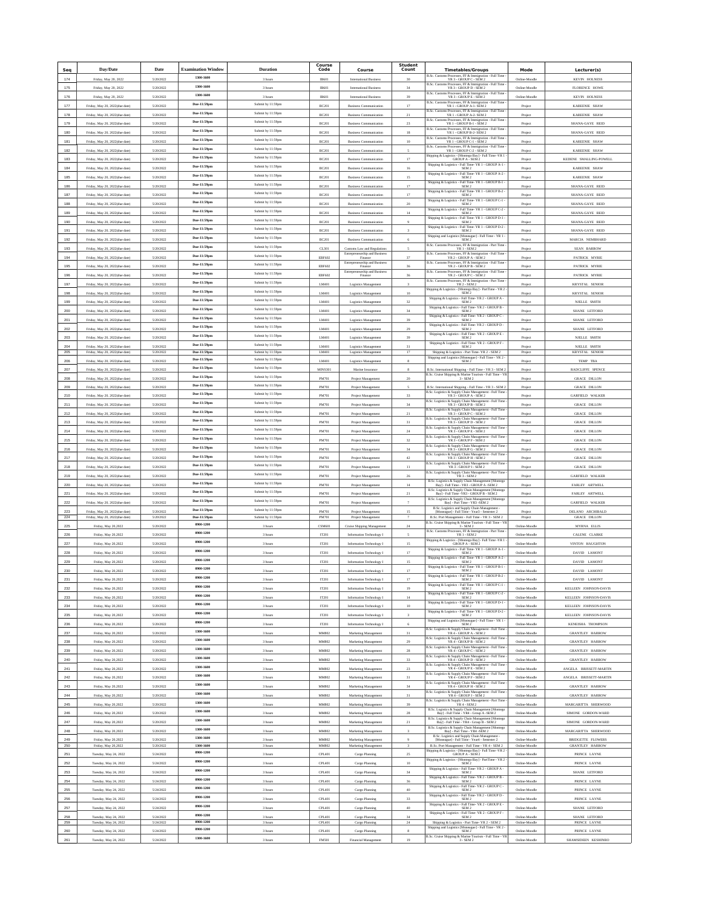| Seq            | Day/Date                                                         | Date                   | <b>Examination Window</b>  | <b>Duration</b>                        | Course<br>Code          | Course                                                         | <b>Student</b><br>Count | <b>Timetables/Groups</b>                                                                                                                                                                      | Mode                           | Lecturer(s)                                      |
|----------------|------------------------------------------------------------------|------------------------|----------------------------|----------------------------------------|-------------------------|----------------------------------------------------------------|-------------------------|-----------------------------------------------------------------------------------------------------------------------------------------------------------------------------------------------|--------------------------------|--------------------------------------------------|
| 174            | Friday, May 20, 2022                                             | 5/20/2022              | 1300-1600                  | 3 hours                                | <b>IB601</b>            | International Business                                         | 30                      | B.Sc. Customs Processes, FF & Immigration - Full Time<br>YR 3 - GROUP C - SEM 2                                                                                                               | Online-Moodle                  | KEVIN HOLNESS                                    |
| 175            | Friday, May 20, 2022                                             | 5/20/2022              | 1300-1600                  | 3 hours                                | <b>IB601</b>            | International Business                                         | 34                      | B.Sc. Customs Processes, FF & Immigration - Full Time<br>YR 3 - GROUP D - SEM 2                                                                                                               | Online-Moodle                  | <b>FLORENCE HOWE</b>                             |
| 176            | Friday, May 20, 2022                                             | 5/20/2022              | 1300-1600                  | 3 hours                                | <b>IB601</b>            | <b>International Busine</b>                                    | 39                      | B.Sc. Customs Processes, FF & Immigration - Full Time<br>YR 3 - GROUP E - SEM 2                                                                                                               | Online-Moodl                   | <b>KEVIN HOLNESS</b>                             |
| 177            | Friday, May 20, 2022(due date)                                   | 5/20/2022              | Due-11:59pm                | Submit by 11:59pm                      | <b>BC201</b>            | <b>Business Communication</b>                                  | 17                      | B.Sc. Customs Processes, FF & Immigration - Full Time<br>YR 1 - GROUP A-1- SEM 2                                                                                                              | Project                        | KAREENIE SHAW                                    |
| 178            | Friday, May 20, 2022(due date)                                   | 5/20/2022              | Due-11:59pm                | Submit by 11:59pm                      | <b>BC201</b>            | <b>Business Communication</b>                                  | $21\,$                  | <b>B.Sc. Cus</b><br>is Processes, FF & Immigration - Full Time<br>YR 1 - GROUP A-2- SEM 2                                                                                                     | Project                        | KAREENIE SHAW                                    |
| 179            | Friday, May 20, 2022(due date)                                   | 5/20/2022              | Due-11:59pm                | Submit by 11:59pm<br>Submit by 11:59pm | <b>BC201</b>            | <b>Business Communication</b>                                  | $23\,$                  | B.Sc. Customs Processes, FF & Immigration - Full Time<br>YR 1 - GROUP B-1 - SEM 2<br>B.Sc. Customs Processes, FF & Immigration - Full Time                                                    | Project                        | SHANA-GAYE REID                                  |
| 180            | Friday, May 20, 2022(due date)                                   | 5/20/2022              | Due-11:59pm<br>Due-11:59pm | Submit by 11:59pm                      | <b>BC201</b>            | <b>Business Communication</b>                                  | 18                      | YR 1 - GROUP B-2- SEM 2<br>B.Sc. Customs Processes, FF & Immigration - Full Time                                                                                                              | Project                        | SHANA-GAYE REID                                  |
| 181            | Friday, May 20, 2022(due date                                    | 5/20/2022              | Due-11:59pm                | Submit by 11:59pm                      | <b>BC201</b>            | <b>Business Communicatio</b>                                   | 10                      | YR 1 - GROUP C-1 - SEM 2<br>${\rm B.Sc.~Customs~Processes, FF~&\text{} Immigration~-Full~Time\\quad~YR~1~-GROUP~C-2~-SEM~2}$                                                                  | Project                        | KAREENIE SHAW                                    |
| 182<br>183     | Friday, May 20, 2022(due date)<br>Friday, May 20, 2022(due date) | 5/20/2022<br>5/20/2022 | Due-11:59pm                | Submit by 11:59pm                      | <b>BC201</b><br>BC201   | <b>Business Communication</b><br><b>Business Communication</b> | 17                      | $\begin{array}{l}{\rm{Shipping~\&Logistics - [Montego Bay] - Full Time - YR1}}\\{\rm{GROUP~A - SEM~2}}\end{array}$                                                                            | Project<br>Project             | KAREENIE SHAW<br>KEDENE SMALLING-POWELL          |
| 184            | Friday, May 20, 2022(due date)                                   | 5/20/2022              | Due-11:59pm                | Submit by 11:59pm                      | <b>BC201</b>            | <b>Business Communication</b>                                  | 16                      | Shipping & Logistics - Full Time-YR 1 - GROUP A-1 -<br>SEM <sub>2</sub>                                                                                                                       | Project                        | KAREENIE SHAW                                    |
| 185            | Friday, May 20, 2022(due date)                                   | 5/20/2022              | Due-11:59pm                | Submit by 11:59pm                      | <b>BC201</b>            | <b>Business Communication</b>                                  | 15                      | Shipping & Logistics - Full Time-YR 1 - GROUP A-2<br>SEM <sub>2</sub>                                                                                                                         | Project                        | KAREENIE SHAW                                    |
| 186            | Friday, May 20, 2022(due date)                                   | 5/20/2022              | Due-11:59pm                | Submit by 11:59pm                      | <b>BC201</b>            | <b>Business Communication</b>                                  | $17\,$                  | Shipping & Logistics - Full Time- YR 1 - GROUP B-1 -<br>SEM <sub>2</sub>                                                                                                                      | Project                        | SHANA-GAYE REID                                  |
| 187            | Friday, May 20, 2022(due date)                                   | 5/20/2022              | Due-11:59pm                | Submit by 11:59pn                      | BC201                   | <b>Business Communication</b>                                  | $17\,$                  | Shipping & Logistics - Full Time- $\verb YR 1 - \verb GROUPB-2 - \verb SEM 2 $                                                                                                                | Project                        | SHANA-GAYE REID                                  |
| 188            | Friday, May 20, 2022(due date)                                   | 5/20/2022              | Due-11:59pm                | Submit by 11:59pm                      | <b>BC201</b>            | <b>Business Communication</b>                                  | 20                      | $\begin{array}{c} \mbox{Shipping &\textbf{Logistics - Full Time- YR 1 - GROUP C-1} }\\ \mbox{SEM 2} \end{array}$<br>Shipping & Logistics - Full Time-YR 1 - GROUP C-2                         | Project                        | SHANA-GAYE REID                                  |
| 189            | Friday, May 20, 2022(due date)                                   | 5/20/2022              | Due-11:59pm<br>Due-11:59pm | Submit by 11:59pm<br>Submit by 11:59pm | <b>BC201</b>            | <b>Business Communication</b>                                  | $14\,$                  | SEM <sub>2</sub><br>Shipping & Logistics - Full Time-YR 1 - GROUP D-1                                                                                                                         | Project                        | SHANA-GAYE REID                                  |
| 190            | Friday, May 20, 2022(due date)                                   | 5/20/2022              | Due-11:59pm                | Submit by 11:59pm                      | <b>BC201</b>            | <b>Business Communication</b>                                  |                         | SEM <sub>2</sub><br>Shipping & Logistics - Full Time-YR 1 - GROUP D-2 -                                                                                                                       | Project                        | SHANA-GAYE REID                                  |
| 191<br>192     | Friday, May 20, 2022(due date<br>Friday, May 20, 2022(due date)  | 5/20/2022<br>5/20/2022 | Due-11:59pm                | Submit by 11:59pn                      | <b>BC201</b><br>BC201   | <b>Business Communication</b><br><b>Business Communication</b> | 6                       | SEM <sub>2</sub><br>$\begin{array}{c} \mbox{Shipping and Logistics [Moneague] - Full Time - YR 1 -} \\ \mbox{SEM 2} \end{array}$                                                              | Project<br>Project             | SHANA-GAYE REID<br>MARCIA NEMBHARD               |
| 193            | Friday, May 20, 2022(due date)                                   | 5/20/2022              | Due-11:59pm                | Submit by 11:59pm                      | CL301                   | Customs Law and Regulations                                    |                         | B.Sc. Customs Processes, FF & Immigration - Part Time<br>YR 1 - SEM 2                                                                                                                         | Project                        | SEAN BARROW                                      |
| 194            | Friday, May 20, 2022(due date)                                   | 5/20/2022              | Due-11:59pm                | Submit by 11:59pm                      | EBF602                  | Entrepreneurship and Business<br>Finance                       | $37\,$                  | B.Sc. Customs Processes, FF & Immigration - Full Time<br>YR2 - GROUP A - SEM 2                                                                                                                | Project                        | PATRICK MYRIE                                    |
| 195            | Friday, May 20, 2022(due date)                                   | 5/20/2022              | Due-11:59pm                | Submit by 11:59pm                      | EBF602                  | Entrepreneurship and Business<br>Finance                       | 36                      | B.Sc. Customs Processes, FF & Immigration - Full Time - YR 2 - GROUP B - SEM 2                                                                                                                | Project                        | PATRICK MYRIE                                    |
| 196            | Friday, May 20, 2022(due date)                                   | 5/20/2022              | Due-11:59pm                | Submit by 11:59pm                      | EBF602                  | Entrepreneurship and Business<br>Finance                       | 36                      | B.Sc. Customs Processes, FF & Immigration - Full Time<br>YR 2 - GROUP C - SEM 2                                                                                                               | Project                        | PATRICK MYRIE                                    |
| 197            | Friday, May 20, 2022(due date)                                   | 5/20/2022              | Due-11:59pm                | Submit by 11:59pn                      | LM401                   | Logistics Management                                           |                         | B.Sc. Customs Processes, FF & Immigration - Part Time<br><b>YR 2 - SEM 2</b>                                                                                                                  | Project                        | <b>KRYSTAL SENIOR</b>                            |
| 198            | Friday, May 20, 2022(due date)                                   | 5/20/2022              | Due-11:59pm                | Submit by 11:59pm<br>Submit by 11:59pm | LM401                   | Logistics Management                                           | 10                      | Shipping & Logistics - [Montego Bay] - PartTime - YR 2 - ${\tt SEM}\,2$                                                                                                                       | Project                        | <b>KRYSTAL SENIOR</b>                            |
| 199            | Friday, May 20, 2022(due date)                                   | 5/20/2022              | Due-11:59pm<br>Due-11:59pm | Submit by 11:59pm                      | LM401                   | Logistics Management                                           | 32                      | Shipping & Logistics - Full Time- YR $2$ - GROUP A - SEM $2$<br>Shipping & Logistics - Full Time-YR 2 - GROUP B                                                                               | Project                        | NJELLE SMITH                                     |
| 200<br>201     | Friday, May 20, 2022(due date)<br>Friday, May 20, 2022(due date) | 5/20/2022              | Due-11:59pm                | Submit by 11:59pm                      | LM401                   | Logistics Management                                           | 34                      | SEM <sub>2</sub><br>Shipping & Logistics - Full Time-YR 2 - GROUP C -                                                                                                                         | Project                        | SHANE LETFORD                                    |
| 202            | Friday, May 20, 2022(due date)                                   | 5/20/2022<br>5/20/2022 | Due-11:59pm                | Submit by 11:59pn                      | LM401<br>LM401          | Logistics Management<br>Logistics Management                   | 39<br>29                | SEM <sub>2</sub><br>Shipping & Logistics - Full Time-YR 2 - GROUP D -<br>SEM <sub>2</sub>                                                                                                     | Project<br>Project             | SHANE LETFORD<br>SHANE LETFORD                   |
| 203            | Friday, May 20, 2022(due date)                                   | 5/20/2022              | Due-11:59pm                | Submit by 11:59pm                      | LM401                   | Logistics Management                                           | 39                      | Shipping & Logistics - Full Time- YR $2$ - GROUP E - ${\bf SEM}$ 2                                                                                                                            | Project                        | NJELLE SMITH                                     |
| 204            | Friday, May 20, 2022(due date)                                   | 5/20/2022              | Due-11:59pm                | Submit by 11:59pm                      | LM401                   | Logistics Management                                           | 31                      | Shipping & Logistics - Full Time- YR $2$ - GROUP F - SEM $2$                                                                                                                                  | Project                        | NJELLE SMITH                                     |
| 205            | Friday, May 20, 2022(due date)                                   | 5/20/2022              | Due-11:59pm<br>Due-11:59pm | Submit by 11:59pm<br>Submit by 11:59pm | LM401                   | Logistics Management                                           | 17                      | Shipping & Logistics - Part Time- YR 2 - SEM 2<br>Shipping and Logistics [Moneague] - Full Time - YR 2                                                                                        | Project                        | KRYSTAL SENIOR                                   |
| 206<br>207     | Friday, May 20, 2022(due date)<br>Friday, May 20, 2022(due date) | 5/20/2022<br>5/20/2022 | Due-11:59pm                | Submit by 11:59pm                      | LM401<br><b>MINS301</b> | Logistics Management<br>Marine Insurance                       | 8<br>8                  | SEM <sub>2</sub><br>B.Sc. International Shipping - Full Time - YR 3 - SEM 2                                                                                                                   | Project<br>Project             | TEMP TBA<br>RADCLIFFE SPENCE                     |
| 208            | Friday, May 20, 2022(due date)                                   | 5/20/2022              | Due-11:59pm                | Submit by 11:59pm                      | PM701                   | Project Management                                             | 20                      | B.Sc. Cruise Shipping & Marine Tourism - Full Time - YF<br>$3 - SEM2$                                                                                                                         | Project                        | <b>GRACE DILLON</b>                              |
| 209            | Friday, May 20, 2022(due date)                                   | 5/20/2022              | Due-11:59pm                | Submit by 11:59pm                      | PM701                   | Project Managemen                                              | $\leq$                  | B.Sc. International Shipping - Full Time - YR 3 - SEM 2                                                                                                                                       | Project                        | GRACE DILLON                                     |
| 210            | Friday, May 20, 2022(due date)                                   | 5/20/2022              | Due-11:59pm                | Submit by 11:59pm                      | PM701                   | Project Managemen                                              | 33                      | B.Sc. Logistics & Supply Chain Management - Full Time<br>YR 3 - GROUP A - SEM 2                                                                                                               | Project                        | GARFIELD WALKER                                  |
| $211\,$        | Friday, May 20, 2022(due date)                                   | 5/20/2022              | Due-11:59pm                | Submit by 11:59pm                      | PM701                   | Project Managemen                                              | $_{\rm 34}$             | B.Sc. Logistics & Supply Chain Management - Full Time<br>YR 3 - GROUP B - SEM 2<br>ent - Full Time                                                                                            | Project                        | GRACE DILLON                                     |
| 212            | Friday, May 20, 2022(due date)                                   | 5/20/2022              | Due-11:59pm<br>Due-11:59pm | Submit by 11:59pm<br>Submit by 11:59pm | PM701                   | Project Management                                             | $_{\rm 21}$             | B.Sc. Logistics & Supply Chain Management<br>YR 3 - GROUP C - SEM 2<br>B.Sc. Logistics & Supply Chain Management - Full Time<br>YR 3 - GROUP D - SEM 2                                        | Project                        | <b>GRACE DILLON</b>                              |
| 213<br>214     | Friday, May 20, 2022(due date)                                   | 5/20/2022              | Due-11:59pm                | Submit by 11:59pm                      | PM701                   | Project Management                                             | $31\,$                  | B.Sc. Logistics & Supply Chain Management - Full Time                                                                                                                                         | Project                        | <b>GRACE DILLON</b>                              |
| 215            | Friday, May 20, 2022(due date)<br>Friday, May 20, 2022(due date  | 5/20/2022<br>5/20/2022 | Due-11:59pm                | Submit by 11:59pm                      | PM701<br>PM701          | Project Managemen<br>Project Managemen                         | 24<br>$_{32}$           | YR 3 - GROUP E - SEM 2<br>B.Sc. Logistics & Supply Chain Manag<br>nt - Full Time<br>YR 3 - GROUP F - SEM 2                                                                                    | Project<br>Project             | <b>GRACE DILLON</b><br><b>GRACE DILLON</b>       |
| 216            | Friday, May 20, 2022(due date)                                   | 5/20/2022              | Due-11:59pm                | Submit by 11:59pn                      | PM701                   | Project Managemen                                              | $_{\rm 34}$             | B.Sc. Logistics & Supply Chain Management - Full Time<br>YR 3 - GROUP G - SEM 2                                                                                                               | Project                        | GRACE DILLON                                     |
| 217            | Friday, May 20, 2022(due date)                                   | 5/20/2022              | Due-11:59pm                | Submit by 11:59pm                      | PM701                   | Project Managemen                                              | 42                      | B.Sc. Logistics & Supply Chain Management - Full Time<br>YR 3 - GROUP H - SEM 2                                                                                                               | Project                        | <b>GRACE DILLON</b>                              |
| 218            | Friday, May 20, 2022(due date)                                   | 5/20/2022              | Due-11:59pm                | Submit by 11:59pm                      | PM701                   | Project Management                                             | $11\,$                  | B.Sc. Logistics & Supply Chain Management - Full Time<br>YR 3 - GROUP I - SEM 2                                                                                                               | Project                        | <b>GRACE DILLON</b>                              |
| 219            | Friday, May 20, 2022(due date)                                   | 5/20/2022              | Due-11:59pm<br>Due-11:59pm | Submit by 11:59pm<br>Submit by 11:59pm | PM701                   | Project Management                                             | 26                      | B.Sc. Logistics & Supply Chain Management - Part Time<br>YR 3 - SEM 2<br>B.Sc. Logistics & Supply Chain Management [Montego Bay] - Full Time - YR3 - GROUP A -SEM 2                           | Project                        | GARFIELD WALKER                                  |
| 220            | Friday, May 20, 2022(due date)                                   | 5/20/2022              | Due-11:59pm                | Submit by 11:59pn                      | PM701                   | Project Management                                             | 14                      | ${\rm B.Sc.~Logistics~\&~Supply~Chain~Management~[Monteg~\large~\large\,Bay] - Full~Time~-YR3~-~GROUP~B~-~SEM~2}$                                                                             | Project                        | FARLEY ARTWELL                                   |
| $221\,$<br>222 | Friday, May 20, 2022(due date)<br>Friday, May 20, 2022(due date) | 5/20/2022<br>5/20/2022 | Due-11:59pm                | Submit by 11:59pm                      | PM701<br>PM701          | Project Managemen<br>Project Management                        | $_{\rm 21}$             | $\begin{array}{c} \mbox{B.Sc. Logistics & Supply Chain Management}\\ \mbox{Bayl - Part Time - YR3 - SEM 2} \end{array}$<br>ent [Monteg                                                        | Project<br>Project             | FARLEY ARTWELL<br>GARFIELD WALKER                |
| 223            | Friday, May 20, 2022(due date)                                   | 5/20/2022              | Due-11:59pm                | Submit by 11:59pm                      | PM701                   | Project Managemen                                              | 15                      | B.Sc. Logistics and Supply Chain Management [Moneague] - Full Time - Year3 - Semester 2                                                                                                       | Project                        | DELANO ARCHIBALD                                 |
| 224            | Friday, May 20, 2022(due date)                                   | 5/20/2022              | Due-11:59pm<br>0900-1200   | Submit by 11:59pm                      | PM701                   | Project Management                                             |                         | B.Sc. Port Management - Full Time - YR 3 - SEM 2<br>B.Sc. Cruise Shipping & Marine Tourism - Full Time - YF                                                                                   | Project                        | <b>GRACE DILLON</b>                              |
| 225<br>226     | Friday, May 20,2022<br>Friday, May 20,2022                       | 5/20/2022<br>5/20/2022 | 0900-1200                  | 3 hours<br>3 hours                     | <b>CSM601</b><br>IT201  | Cruise Shipping Management<br>Information Technology I         | 24                      | $3 - SEM2$<br>B.Sc. Customs Processes. FF & Immigration - Part Time<br>YR 1 - SEM 2                                                                                                           | Online-Moodle<br>Online-Moodk  | <b>MYRNA ELLIS</b><br>CALENE CLARKE              |
| 227            | Friday, May 20,2022                                              | 5/20/2022              | 0900-1200                  | 3 hours                                | IT201                   | Information Technology I                                       | 15                      | Shipping & Logistics - [Montego Bay] - Full Time -YR 1 GROUP A - SEM 2                                                                                                                        | Online-Moodk                   | VINTON HAUGHTON                                  |
| 228            | Friday, May 20, 2022                                             | 5/20/2022              | 0900-1200                  | 3 hours                                | IT201                   | Information Technology I                                       | 17                      | Shipping & Logistics - Full Time- YR $1$ - GROUP A-1 $\cdot$ SEM $2$                                                                                                                          | Online-Moodle                  | DAVID LAMONT                                     |
| 229            | Friday, May 20,2022                                              | 5/20/2022              | 0900-1200                  | 3 hours                                | IT201                   | Information Technology I                                       | 15                      | Shipping & Logistics - Full Time-YR 1 - GROUP A-2 -<br>SEM <sub>2</sub>                                                                                                                       | Online-Moodle                  | DAVID LAMONT                                     |
| 230            | Friday, May 20, 2022                                             | 5/20/2022              | 0900-1200                  | 3 hours                                | IT201                   | Information Technology I                                       | 17                      | Shipping & Logistics - Full Time- YR 1 - GROUP B-1 -<br>SEM <sub>2</sub>                                                                                                                      | Online-Moodle                  | DAVID LAMONT                                     |
| 231            | Friday, May 20,2022                                              | 5/20/2022              | 0900-1200                  | 3 hours                                | IT201                   | Information Technology I                                       | 17                      | Shipping & Logistics - Full Time-YR 1 - GROUP B-2<br>SEM 2                                                                                                                                    | Online-Moodle                  | $\texttt{DAVID}$ $\texttt{LAMONT}$               |
| 232            | Friday, May 20,2022                                              | 5/20/2022              | 0900-1200<br>0900-1200     | 3 hours                                | IT201                   | Information Technology I                                       | 19                      | Shipping & Logistics - Full Time- YR $1$ - GROUP $\rm C\text{-}1$ - SEM $2$<br>Shipping & Logistics - Full Time-YR 1 - GROUP C-2 -                                                            | Online-Moodle                  | KELLEEN JOHNSON-DAVIS                            |
| 233<br>234     | Friday, May 20,2022<br>Friday, May 20,2022                       | 5/20/2022<br>5/20/2022 | 0900-1200                  | 3 hours<br>3 hours                     | IT201<br>IT201          | Information Technology I<br>Information Technology I           | 14<br>$10\,$            | SEM <sub>2</sub><br>Shipping & Logistics - Full Time-YR 1 - GROUP D-1<br>SEM <sub>2</sub>                                                                                                     | Online-Moodle<br>Online-Moodle | KELLEEN JOHNSON-DAVIS<br>KELLEEN JOHNSON-DAVIS   |
| 235            | Friday, May 20,2022                                              | 5/20/2022              | 0900-1200                  | 3 hours                                | IT201                   | Information Technology I                                       | $\mathcal{R}$           | Shipping & Logistics - Full Time-YR 1 - GROUP D-2 -<br>SEM 2                                                                                                                                  | Online-Moodle                  | KELLEEN JOHNSON-DAVIS                            |
| 236            | Friday, May 20,2022                                              | 5/20/2022              | 0900-1200                  | 3 hours                                | IT201                   | Information Technology I                                       |                         | Shipping and Logistics [Moneague] - Full Time - YR $1$ - ${\bf SEM}\ 2$                                                                                                                       | Online-Moodle                  | KENEISHA THOMPSON                                |
| 237            | Friday, May 20,2022                                              | 5/20/2022              | 1300-1600                  | 3 hours                                | MM802                   | Marketing Managemen                                            | $_{\rm 31}$             | B.Sc. Logistics & Supply Chain Management - Full Time $\,$ YR 4 - GROUP A - SEM 2 $\,$                                                                                                        | Online-Moodle                  | GRANTLEY HARROW                                  |
| 238            | Friday, May 20,2022                                              | 5/20/2022              | 1300-1600                  | 3 hours                                | MM802                   | Marketing Management                                           | 29                      | B.Sc. Logistics & Supply Chain Management - Full Time $$\rm YR\,4$$ - GROUP B - SEM $2$                                                                                                       | Online-Moodle                  | <b>GRANTLEY HARROW</b>                           |
| 239            | Friday, May 20,2022                                              | 5/20/2022              | 1300-1600                  | 3 hours                                | MM802                   | Marketing Management                                           | 28                      | B.Sc. Logistics & Supply Chain Management - Full Time<br>YR 4 - GROUP C - SEM 2                                                                                                               | Online-Moodle                  | <b>GRANTLEY HARROW</b>                           |
| 240<br>241     | Friday, May 20, 2022                                             | 5/20/2022              | 1300-1600<br>1300-1600     | 3 hours                                | MM802                   | Marketing Management                                           | $_{33}$                 | B.Sc. Logistics & Supply Chain Management - Full Time<br>YR 4 - GROUP D - SEM 2<br>B.Sc. Logistics & Supply Chain Management - Full Time                                                      | Online-Moodle<br>Online-Moodle | <b>GRANTLEY HARROW</b>                           |
| 242            | Friday, May 20,2022<br>Friday, May 20,2022                       | 5/20/2022<br>5/20/2022 | 1300-1600                  | 3 hours<br>3 hours                     | MM802<br>MM802          | Marketing Management<br>Marketing Managemen                    | 23<br>$_{31}$           | YR 4 - GROUP E - SEM 2<br>B.Sc. Logistics & Supply Chain Management - Full Time<br>YR 4 - GROUP F - SEM 2                                                                                     | Online-Moodle                  | ANGELA BRISSETT-MARTIN<br>ANGELA BRISSETT-MARTIN |
| 243            | Friday, May 20,2022                                              | 5/20/2022              | 1300-1600                  | 3 hours                                | MM802                   | Marketing Management                                           | 34                      | B.Sc. Logistics & Supply Chain Management - Full Time<br>YR 4 - GROUP H - SEM 2                                                                                                               | Online-Moodle                  | <b>GRANTLEY HARROW</b>                           |
| 244            | Friday, May 20,2022                                              | 5/20/2022              | 1300-1600                  | 3 hours                                | MM802                   | Marketing Management                                           | 31                      | B.Sc. Logistics & Supply Chain Management - Full Time<br>YR 4 - GROUP J - SEM 2                                                                                                               | Online-Moodle                  | <b>GRANTLEY HARROW</b>                           |
| 245            | Friday, May 20,2022                                              | 5/20/2022              | 1300-1600                  | 3 hours                                | MM802                   | Marketing Management                                           | 39                      | B.Sc. Logistics & Supply Chain Management - Part Time<br>YR 4 - SEM 2                                                                                                                         | Online-Moodle                  | MARGARITTA SHERWOOD                              |
| 246            | Friday, May 20,2022                                              | 5/20/2022              | 1300-1600                  | 3 hours                                | MM802                   | Marketing Management                                           | 28                      | B.Sc. Logistics & Supply Chain Management [Montego<br>Bay] - Full Time - YR4 - Group A -SEM 2                                                                                                 | Online-Moodle                  | SIMONE GORDON-WARD                               |
| 247            | Friday, May 20,2022                                              | 5/20/2022              | 1300-1600<br>1300-1600     | 3 hours                                | MM802                   | Marketing Management                                           | $_{\rm 21}$             | ${\rm B.Sc.~Logistics~\&~Supply~Chain~Managermer~[Monetge~\\~Bay]~- Full Time~-YR4~- Group~B~- SEM~2}$<br>B.Sc. Logistics & Supply Chain Management [Montego<br>Bay] - Part Time - YR4 -SEM 2 | Online-Moodle                  | SIMONE GORDON-WARD                               |
| 248<br>249     | Friday, May 20,2022                                              | 5/20/2022              | 1300-1600                  | 3 hours                                | MM802                   | Marketing Management                                           |                         | B.Sc. Logistics and Supply Chain Management [Moneague] - Full Time - Year<br>4 - Semester 2                                                                                                   | Online-Moodle                  | MARGARITTA SHERWOOD                              |
| 250            | Friday, May 20,2022<br>Friday, May 20,2022                       | 5/20/2022<br>5/20/2022 | 1300-1600                  | 3 hours<br>3 hours                     | MM802<br>MM802          | Marketing Management<br>Marketing Management                   | 3                       | B.Sc. Port Management - Full Time - YR 4 - SEM 2                                                                                                                                              | Online-Moodle<br>Online-Moodle | BRIDGETTE FLOWERS<br><b>GRANTLEY HARROW</b>      |
| 251            | Tuesday, May 24, 2022                                            | 5/24/2022              | 0900-1200                  | 3 hours                                | CPL401                  | Cargo Planning                                                 | 25                      | Shipping & Logistics - [Montego Bay] - Full Time -YR 2<br><b>GROUP A - SEM 2</b>                                                                                                              | Online-Moodle                  | PRINCE LAYNE                                     |
| 252            | Tuesday, May 24, 2022                                            | 5/24/2022              | 0900-1200<br>0900-1200     | 3 hours                                | CPL401                  | Cargo Planning                                                 | 10                      | Shipping & Logistics - [Montego Bay] - PartTime - YR 2 -<br>SEM <sub>2</sub><br>Shipping & Logistics - Full Time- YR $2$ - GROUP A - ${\bf SEM}\,2$                                           | Online-Moodle                  | PRINCE LAYNE                                     |
| 253            | Tuesday, May 24, 2022                                            | 5/24/2022              | 0900-1200                  | 3 hours                                | CPL401                  | Cargo Planning                                                 | $_{\rm 34}$             | Shipping & Logistics - Full Time- YR 2 - GROUP B - ${\bf SEM}\,2$                                                                                                                             | Online-Moodle                  | SHANE LETFORD                                    |
| 254<br>255     | Tuesday, May 24, 2022<br>Tuesday, May 24, 2022                   | 5/24/2022<br>5/24/2022 | 0900-1200                  | 3 hours<br>3 hours                     | CPL401<br>CPL401        | Cargo Planning<br>Cargo Planning                               | 36<br>40                | Shipping & Logistics - Full Time-YR 2 - GROUP C -<br>SEM <sub>2</sub>                                                                                                                         | Online-Moodle<br>Online-Moodle | PRINCE LAYNE<br>PRINCE LAYNE                     |
| 256            | Tuesday, May 24, 2022                                            | 5/24/2022              | 0900-1200                  | 3 hours                                | CPL401                  | Cargo Planning                                                 | 33                      | Shipping & Logistics - Full Time- YR 2 - GROUP D - ${\bf SEM}\,2$                                                                                                                             | Online-Moodle                  | PRINCE LAYNE                                     |
| 257            | Tuesday, May 24, 2022                                            | 5/24/2022              | 0900-1200                  | 3 hours                                | CPL401                  | Cargo Planning                                                 | 40                      | Shipping & Logistics - Full Time- YR 2 - GROUP E -<br>SEM <sub>2</sub>                                                                                                                        | Online-Moodle                  | SHANE LETFORD                                    |
| 258            | Tuesday, May 24, 2022                                            | 5/24/2022              | 0900-1200                  | 3 hours                                | CPL401                  | Cargo Planning                                                 | 34                      | Shipping & Logistics - Full Time-YR 2 - GROUP F -<br>SEM <sub>2</sub>                                                                                                                         | Online-Moodle                  | SHANE LETFORD                                    |
| 259<br>260     | Tuesday, May 24, 2022<br>Tuesday, May 24, 2022                   | 5/24/2022<br>5/24/2022 | 0900-1200<br>0900-1200     | 3 hours<br>3 hours                     | CPL401<br>CPL401        | Cargo Planning<br>Cargo Planning                               | $_{\rm 24}$<br>8        | Shipping & Logistics - Part Time- YR 2 - SEM 2<br>Shipping and Logistics [Moneague] - Full Time - YR 2<br>SEM <sub>2</sub>                                                                    | Online-Moodle<br>Online-Moodle | PRINCE LAYNE<br>PRINCE LAYNE                     |
| 261            | Tuesday, May 24, 2022                                            | 5/24/2022              | 1300-1600                  | 3 hours                                | FM501                   | Financial Management                                           | 19                      | B.Sc. Cruise Shipping & Marine Tourism - Full Time - YR<br>$3 - SEM2$                                                                                                                         | Online-Moodle                  | SHAMSIDEEN KESHINRO                              |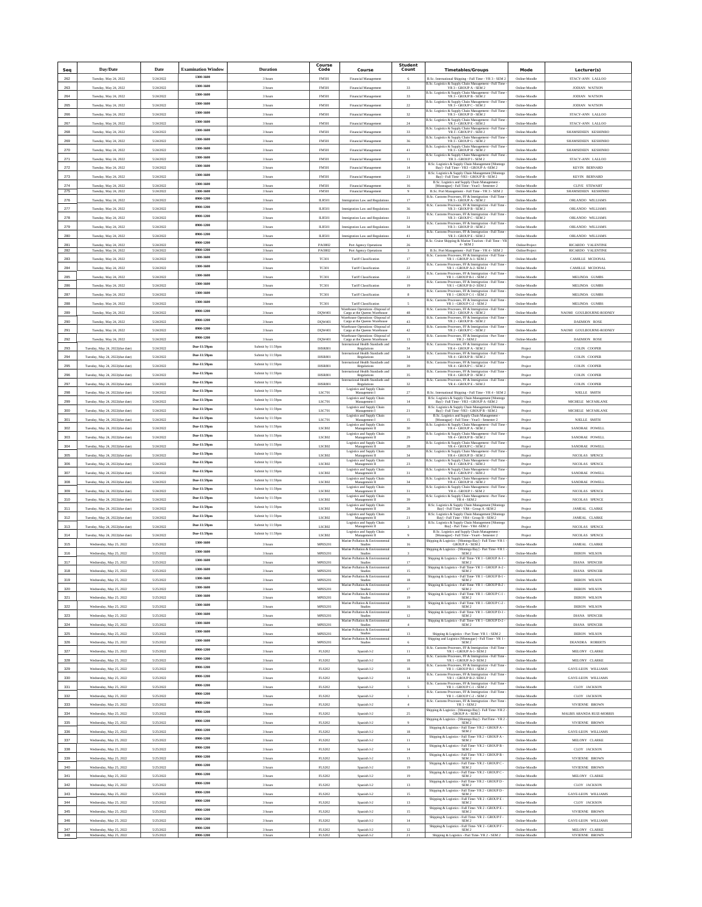| Seq          | Day/Date                                           | Date                   | <b>Examination Window</b> | <b>Duration</b>    | Course<br>Code                 | Course                                                                                                          | <b>Student</b><br>Count | <b>Timetables/Groups</b>                                                                                                                                     | Mode                           | Lecturer(s)                     |
|--------------|----------------------------------------------------|------------------------|---------------------------|--------------------|--------------------------------|-----------------------------------------------------------------------------------------------------------------|-------------------------|--------------------------------------------------------------------------------------------------------------------------------------------------------------|--------------------------------|---------------------------------|
| 262          | Tuesday, May 24, 2022                              | 5/24/2022              | 1300-1600                 | 3 hours            | <b>FM501</b>                   | Financial Management                                                                                            | -6                      | B.Sc. International Shipping - Full Time - YR 3 - SEM 2                                                                                                      | Online-Moodle                  | STACY-ANN LALLOO                |
| 263          | Tuesday, May 24, 2022                              | 5/24/2022              | 1300-1600                 | 3 hours            | <b>FM501</b>                   | Financial Management                                                                                            | 33                      | B.Sc. Logistics & Supply Chain Management - Full Time<br>YR 3 - GROUP A - SEM 2                                                                              | Online-Moodle                  | <b>JODIAN WATSON</b>            |
| 264          | Tuesday, May 24, 2022                              | 5/24/2022              | 1300-1600                 | 3 hours            | <b>FM501</b>                   | Financial Management                                                                                            | 33                      | B.Sc. Logistics & Supply Chain Management - Full Time<br>YR 3 - GROUP B - SEM 2                                                                              | Online-Moodle                  | <b>JODIAN WATSON</b>            |
| 265          | Tuesday, May 24, 2022                              | 5/24/2022              | 1300-1600                 | 3 hours            | FM501                          | Financial Management                                                                                            | $\boldsymbol{22}$       | B.Sc. Logistics & Supply Chain Management - Full Time $$\rm YR\,3$ - GROUP C - SEM 2                                                                         | Online-Moodle                  | <b>JODIAN WATSON</b>            |
| 266          | Tuesday, May 24, 2022                              | 5/24/2022              | 1300-1600                 | 3 hours            | <b>FM501</b>                   | Financial Management                                                                                            | $_{32}$                 | B.Sc. Logistics & Supply Chain Management - Full Tim<br>YR 3 - GROUP D - SEM 2                                                                               | Online-Moodl                   | STACY-ANN LALLOO                |
| 267          | Tuesday, May 24, 2022                              | 5/24/2022              | 1300-1600                 | 3 hours            | FM501                          | Financial Management                                                                                            | $^{24}$                 | nt - Full Tim<br>3.Sc. Logistics & Supply Chain Manageme<br>YR 3 - GROUP E - SEM 2                                                                           | Online-Moodle                  | STACY-ANN LALLOO                |
| 268          | Tuesday, May 24, 2022                              | 5/24/2022              | 1300-1600                 | 3 hours            | FM501                          | Financial Management                                                                                            | $_{33}$                 | 3.Sc. Logistics & Supply Chain Manage<br>tent - Full Tim<br>YR 3 - GROUP F - SEM 2                                                                           | Online-Moodle                  | SHAMSIDEEN KESHINRC             |
| 269          | Tuesday, May 24, 2022                              | 5/24/2022              | 1300-1600                 | 3 hours            | <b>FM501</b>                   | Financial Management                                                                                            | 36                      | B.Sc. Logistics & Supply Chain Management - Full Time<br>YR 3 - GROUP G - SEM 2                                                                              | Online-Moodle                  | SHAMSIDEEN KESHINRO             |
| 270          | Tuesday, May 24, 2022                              | 5/24/2022              | 1300-1600                 | 3 hours            | FM501                          | Financial Management                                                                                            | 41                      | B.Sc. Logistics & Supply Chain Management - Full Time $$\rm YR\,3$ - GROUP H - SEM 2                                                                         | Online-Moodle                  | SHAMSIDEEN KESHINRO             |
| 271          | Tuesday, May 24, 2022                              | 5/24/2022              | 1300-1600                 | 3 hours            | FM501                          | Financial Managen                                                                                               | $11\,$                  | B.Sc. Logistics & Supply Chain Manageme<br>YR 3 - GROUP I - SEM 2<br>nt - Full Tim                                                                           | Online-Moodk                   | STACY-ANN LALLOO                |
| 272          | Tuesday, May 24, 2022                              | 5/24/2022              | 1300-1600                 | 3 hours            | FM501                          | Financial Management                                                                                            | $14\,$                  | ${\rm B. Sc.~Logistics~\&~Supply~Chain~Managerment~[Monteg~\quad]~{\rm Bay}]\xspace - Full~Time - YR3 - GROUP~A - SEM~2}$                                    | Online-Moodle                  | KEVIN BERNARD                   |
| 273          | Tuesday, May 24, 2022                              | 5/24/2022              | 1300-1600                 | 3 hours            | <b>FM501</b>                   | Financial Management                                                                                            | $\bf{21}$               | B.Sc. Logistics & Supply Chain Man<br>agement [Montego<br>Bay] - Full Time -YR3 - GROUP B - SEM 2                                                            | Online-Moodle                  | KEVIN BERNARD                   |
| 274          | Tuesday, May 24, 2022                              | 5/24/2022              | 1300-1600                 | 3 hours            | FM501                          | Financial Management                                                                                            | 16                      | B.Sc. Logistics and Supply Chain Management [Moneague] - Full Time - Year3 - Semester 2                                                                      | Online-Moodle                  | <b>CLIVE STEWART</b>            |
| 275          | Tuesday, May 24, 2022                              | 5/24/2022              | 1300-1600                 | 3 hours            | FM501                          | Financial Management                                                                                            | $\,9$                   | B.Sc. Port Management - Full Time - YR 3 - SEM 2                                                                                                             | Online-Moodle                  | SHAMSIDEEN KESHINRO             |
| 276          | Tuesday, May 24, 2022                              | 5/24/2022              | 0900-1200                 | 3 hour             | <b>ILR501</b>                  | mmigration Law and Regulati                                                                                     | $17\,$                  | B.Sc. Customs Processes, FF & Immigration - Full Time $\verb YR3-GROUPA-SEM2 $                                                                               | Online-Moodl                   | ORLANDO WILLIAMS                |
| 277          | Tuesday, May 24, 2022                              | 5/24/2022              | 0900-1200                 | 3 hours            | <b>ILR501</b>                  | Immigration Law and Regulations                                                                                 | 36                      | B.Sc. Customs Processes, FF & Immigration - Full Time $$\mbox{YR}$ 3 - GROUP B - SEM 2                                                                       | Online-Moodle                  | ORLANDO WILLIAMS                |
| 278          | Tuesday, May 24, 2022                              | 5/24/2022              | 0900-1200                 | 3 hours            | <b>ILR501</b>                  | Immigration Law and Regulations                                                                                 | 31                      | s Processes, FF & Immigration - Full Time<br>3.Sc. Cus<br>YR 3 - GROUP C - SEM 2                                                                             | Online-Moodle                  | ORLANDO WILLIAMS                |
| 279          | Tuesday, May 24, 2022                              | 5/24/2022              | 0900-1200                 | 3 hours            | <b>ILR501</b>                  | mmigration Law and Regulation                                                                                   | 34                      | B.Sc. Customs Processes, FF & Immigration - Full Time<br>YR 3 - GROUP D - SEM 2                                                                              | Online-Moodle                  | ORLANDO WILLIAMS                |
| 280          | Tuesday, May 24, 2022                              | 5/24/2022              | 0900-1200                 | 3 hours            | <b>ILR501</b>                  | Immigration Law and Regulations                                                                                 | 41                      | B.Sc. Customs Processes, FF & Immigration - Full Time<br>YR 3 - GROUP E - SEM 2                                                                              | Online-Moodle                  | ORLANDO WILLIAMS                |
| 281          | Tuesday, May 24, 2022                              | 5/24/2022              | 0900-1200                 | 3 hours            | PA0802                         | Port Agency Operations                                                                                          |                         | B.Sc. Cruise Shipping & Marine Tourism - Full Time - YR<br>$4$ - ${\rm SEM}\,2$                                                                              | Online/Projec                  | RICARDO VALENTINE               |
| 282          | Tuesday, May 24, 2022                              | 5/24/2022              | 0900-1200<br>1300-1600    | 3 hours            | PA0802                         | Port Agency Operations                                                                                          |                         | B.Sc. Port Management - Full Time - YR 4 - SEM 2<br>oms Processes, FF & Immigration - Full Time<br>B.Sc. Cust                                                | Online/Project                 | RICARDO VALENTINE               |
| 283          | Tuesday, May 24, 2022                              | 5/24/2022              | 1300-1600                 | 3 hours            | <b>TC301</b>                   | Tariff Classification                                                                                           | $17\,$                  | YR 1 - GROUP A-1- SEM 2                                                                                                                                      | Online-Moodle                  | CAMILLE MCDONAL                 |
| 284          | Tuesday, May 24, 2022                              | 5/24/2022              | 1300-1600                 | 3 hours            | <b>TC301</b>                   | Tariff Classification                                                                                           | $22\,$                  | B.Sc. Customs Processes, FF & Immigration - Full Time<br>YR 1 - GROUP A-2- SEM 2<br>B.Sc. Customs Processes, FF & Immigration - Full Time                    | Online-Moodle                  | CAMILLE MCDONAL                 |
| 285          | Tuesday, May 24, 2022                              | 5/24/2022              |                           | 3 hours            | <b>TC301</b>                   | Tariff Classification                                                                                           | $22\,$                  | YR 1 - GROUP B-1 - SEM 2<br>B.Sc. Cust<br>ms Processes, FF & Immigration - Full Time                                                                         | Online-Moodle                  | MELINDA GUMBS                   |
| 286          | Tuesday, May 24, 2022                              | 5/24/2022              | 1300-1600                 | 3 hours            | TC301                          | Tariff Classification                                                                                           | 19                      | ${\tt YR}$ 1 - GROUP B-2- ${\tt SEM}$ 2<br><b>B.Sc. Cust</b>                                                                                                 | Online-Moodle                  | MELINDA GUMBS                   |
| 287          | Tuesday, May 24, 2022                              | 5/24/2022              | 1300-1600                 | 3 hours            | <b>TC301</b>                   | Tariff Classification                                                                                           |                         | oms Processes, FF & Immigration - Full Time<br>YR 1 - GROUP C-1 - SEM 2<br>B.Sc. Cus                                                                         | Online-Moodle                  | MELINDA GUMBS                   |
| 288          | Tuesday, May 24, 2022                              | 5/24/2022              | 1300-1600                 | 3 hours            | TC301                          | Tariff Classification<br>Narehouse Operations - Disposal o                                                      |                         | ns Processes, FF & Immigration - Full Time<br>YR 1 - GROUP C-2 - SEM 2<br>B.Sc. Cust                                                                         | Online-Moodk                   | MELINDA GUMBS                   |
| 289          | Tuesday, May 24, 2022                              | 5/24/2022              | 0900-1200                 | 3 hours            | DQW401                         | Cargo at the Queens Warehouse<br>Warehouse Operations -Disposal o                                               | 48                      | ns Processes, FF & Immigration - Full Time<br>YR 2 - GROUP A - SEM 2<br>B.Sc. Customs Processes, FF & Immigration - Full Time                                | Online-Moodle                  | NAOMI GOULBOURNE-RODNEY         |
| 290          | Tuesday, May 24, 2022                              | 5/24/2022              | 0900-1200                 | 3 hours            | DQW401                         | Cargo at the Queens Warehouse<br>Warehouse Operations -Disposal of                                              | 43                      | YR 2 - GROUP B - SEM 2<br>B.Sc. Customs Processes, FF & Immigration - Full Time                                                                              | Online-Moodle                  | <b>DAEMION ROSE</b>             |
| 291          | Tuesday, May 24, 2022                              | 5/24/2022              | 0900-1200                 | 3 hours            | DQW401                         | Cargo at the Queens Warehouse                                                                                   | $42\,$                  | YR 2 - GROUP C - SEM 2                                                                                                                                       | Online-Moodk                   | NAOMI GOULBOURNE-RODNEY         |
| 292          | Tuesday, May 24, 2022                              | 5/24/2022              | 0900-1200                 | 3 hours            | DQW401                         | <b>Warehouse Operations -Disposal of</b><br>Cargo at the Queens Warehouse<br>international Health Standards and | $13\,$                  | B.Sc. Customs Processes, FF & Immigration - Part Time<br>YR 2 - SEM 2<br>B.Sc. Cus                                                                           | Online-Moodle                  | DAEMION ROSE                    |
| 293          | Tuesday, May 24, 2022(due date)                    | 5/24/2022              | Due-11:59pm               | Submit by 11:59pm  | <b>IHSR801</b>                 | Regulations<br>International Health Standards and                                                               | $^{34}$                 | ns Processes, FF & Immigration - Full Time<br>YR 4 - GROUP A - SEM 2<br>B.Sc. Cus<br>s Processes, FF & Immigration - Full Time                               | Project                        | COLIN COOPER                    |
| 294          | Tuesday, May 24, 2022(due date)                    | 5/24/2022              | Due-11:59pm               | Submit by 11:59pm  | <b>IHSR801</b>                 | Regulations<br>International Health Standards and                                                               | 34                      | YR 4 - GROUP B - SEM 2                                                                                                                                       | Project                        | COLIN COOPER                    |
| 295          | Tuesday, May 24, 2022(due date)                    | 5/24/2022              | Due-11:59pm               | Submit by 11:59pm  | <b>IHSR801</b>                 | Regulations<br>International Health Standards and                                                               | 39                      | B.Sc. Customs Processes, FF & Immigration - Full Time<br>YR 4 - GROUP C - SEM 2                                                                              | Project                        | COLIN COOPER                    |
| 296          | Tuesday, May 24, 2022(due date)                    | 5/24/2022              | Due-11:59pm               | Submit by 11:59pm  | <b>IHSR801</b>                 | Regulations<br>International Health Standards and                                                               | 35                      | B.Sc. Customs Processes, FF & Immigration - Full Time<br>YR 4 - GROUP D - SEM 2<br>B.Sc. Customs Processes, FF & Immigration - Full Time                     | Project                        | COLIN COOPER                    |
| 297          | Tuesday, May 24, 2022(due date)                    | 5/24/2022              | Due-11:59pm               | Submit by 11:59pm  | <b>IHSR801</b>                 | Regulations                                                                                                     | $_{32}$                 | YR 4 - GROUP E - SEM 2                                                                                                                                       | Project                        | COLIN COOPER                    |
| 298          | Tuesday, May 24, 2022(due date)                    | 5/24/2022              | Due-11:59pm               | Submit by 11:59pm  | LSC701                         | Logistics and Supply Chair<br>Management I                                                                      | 27                      | B.Sc. International Shipping - Full Time - YR 4 - SEM 2                                                                                                      | Project                        | NJELLE SMITH                    |
| 299          | Tuesday, May 24, 2022(due date)                    | 5/24/2022              | Due-11:59pm               | Submit by 11:59pm  | LSC701                         | Logistics and Supply Chair<br>Management I                                                                      | 14                      | B.Sc. Logistics & Supply Chain Management [Montego Bay] - Full Time - YR3 - GROUP A -SEM 2                                                                   | Project                        | MICHELE MCFARLANE               |
| 300          | Tuesday, May 24, 2022(due date)                    | 5/24/2022              | Due-11:59pm               | Submit by 11:59pm  | LSC701                         | Logistics and Supply Chain<br>Management I                                                                      | $_{\rm 21}$             | B.Sc. Logistics & Supply Chain Management [Montego<br>Bay] - Full Time -YR3 - GROUP B - SEM 2                                                                | Project                        | MICHELE MCFARLANE               |
| 301          | Tuesday, May 24, 2022(due date)                    | 5/24/2022              | Due-11:59pm               | Submit by 11:59pm  | LSC701                         | Logistics and Supply Chair<br>Management I                                                                      | 15                      | B.Sc. Logistics and Supply Chain Management [Moneague] - Full Time - Year3 - Semester 2                                                                      | Project                        | <b>NJELLE SMITH</b>             |
| 302          | Tuesday, May 24, 2022(due date)                    | 5/24/2022              | Due-11:59pm               | Submit by 11:59pm  | LSC802                         | Logistics and Supply Chain<br>Management II                                                                     | 30                      | B.Sc. Logistics & Supply Chain Management - Full Time ${\rm YR}$ 4 - GROUP A - SEM 2                                                                         | Project                        | SANDRAE POWELL                  |
| 303          | Tuesday, May 24, 2022(due date)                    | 5/24/2022              | Due-11:59pm               | Submit by 11:59pm  | LSC802                         | Logistics and Supply Chair<br>Management II                                                                     | 29                      | B.Sc. Logistics & Supply Chain Management - Full Time<br>YR 4 - GROUP B - SEM 2                                                                              | Project                        | SANDRAE POWELL                  |
| 304          | Tuesday, May 24, 2022(due date)                    | 5/24/2022              | Due-11:59pm               | Submit by 11:59pm  | LSC802                         | Logistics and Supply Chai<br>Management II                                                                      | 28                      | B.Sc. Logistics & Supply Chain Management - Full Time<br>YR 4 - GROUP C - SEM 2                                                                              | Project                        | SANDRAE POWELL                  |
| 305          | Tuesday, May 24, 2022(due date)                    | 5/24/2022              | Due-11:59pm               | Submit by 11:59pm  | LSC802                         | Logistics and Supply Chair<br>Management II                                                                     | 34                      | 3.Sc. Logistics & Supply Chain Manage<br>nent - Full Tim<br>YR4 - GROUP D - SEM 2                                                                            | Project                        | NICOLAS SPENCE                  |
| 306          | Tuesday, May 24, 2022(due date)                    | 5/24/2022              | Due-11:59pm               | Submit by 11:59pm  | LSC802                         | <b>Logistics and Supply Chair</b><br>Management II                                                              | 23                      | B.Sc. Logistics & Supply Chain Management - Full Time<br>YR 4 - GROUP E - SEM 2                                                                              | Project                        | NICOLAS SPENCE                  |
| 307          | Tuesday, May 24, 2022(due date)                    | 5/24/2022              | Due-11:59pm               | Submit by 11:59pm  | LSC802                         | Logistics and Supply Chain<br>Management II                                                                     | 31                      | B.Sc. Logistics & Supply Chain Management - Full Time<br>YR 4 - GROUP F - SEM 2                                                                              | Project                        | SANDRAE POWELL                  |
| 308          | Tuesday, May 24, 2022(due date)                    | 5/24/2022              | Due-11:59pm               | Submit by 11:59pm  | LSC802                         | $\begin{array}{c} \text{Logistics and Supply Chair} \\ \text{Management II} \end{array}$                        | 34                      | B.Sc. Logistics & Supply Chain Management - Full Time<br>YR 4 - GROUP H - SEM 2                                                                              | Project                        | SANDRAE POWELL                  |
| 309          | Tuesday, May 24, 2022(due date)                    | 5/24/2022              | Due-11:59pm               | Submit by 11:59pm  | LSC802                         | <b>Logistics and Supply Chain</b><br>Management II                                                              | $31\,$                  | B.Sc. Logistics & Supply Chain Management - Full Time<br>YR 4 - GROUP J - SEM 2                                                                              | Project                        | NICOLAS SPENCE                  |
| 310          | Tuesday, May 24, 2022(due date)                    | 5/24/2022              | Due-11:59pm               | Submit by 11:59pm  | LSC802                         | Logistics and Supply Chai<br>Management II                                                                      | 39                      | B.Sc. Logistics & Supply Chain Management - Part Tim<br>YR 4 - SEM 2                                                                                         | Project                        | NICOLAS SPENCE                  |
| 311          | Tuesday, May 24, 2022(due date)                    | 5/24/2022              | Due-11:59pm               | Submit by 11:59pm  | LSC802                         | Logistics and Supply Chair<br>Management II                                                                     | 28                      | B.Sc. Logistics & Supply Chain Management [Montego<br>Bay] - Full Time - YR4 - Group A -SEM 2                                                                | Project                        | JAMEAL CLARKE                   |
| 312          | Tuesday, May 24, 2022(due date)                    | 5/24/2022              | Due-11:59pm               | Submit by 11:59pm  | LSC802                         | Logistics and Supply Chain<br>Management II                                                                     | $\mathbf{21}$           | ${\rm B.Sc.~Logistics~\&~Supply~Chain~Managerment~[Monteg~\quad]~~Fun~\cdot~YRA - Group~B - SEM~2}$                                                          | Project                        | JAMEAL CLARKE                   |
| $_{\rm 313}$ | Tuesday, May 24, 2022(due date)                    | 5/24/2022              | Due-11:59pm               | Submit by 11:59pm  | LSC802                         | $\begin{array}{c} \text{Logistics and Supply Chain} \\ \text{Management II} \end{array}$                        |                         | B.Sc. Logistics & Supply Chain Management [Montego<br>Bay] - Part Time - YR4 -SEM 2                                                                          | Project                        | NICOLAS SPENCE                  |
| 314          | Tuesday, May 24, 2022(due date)                    | 5/24/2022              | Due-11:59pm               | Submit by 11:59pm  | LSC802                         | Logistics and Supply Chain<br>Management II                                                                     |                         | B.Sc. Logistics and Supply Chain Management [Moneague] - Full Time - Year<br>4 - Semester 2                                                                  | Project                        | NICOLAS SPENCE                  |
| 315          | Wednesday, May 25, 2022                            | 5/25/2022              | 1300-1600                 | 3 hours            | MPES201                        | <b>Aarine Pollution &amp; Enviro</b><br>Studies                                                                 | 16                      | hipping & Logistics - [Montego Bay] - Full Time -YR 1<br><b>GROUP A - SEM 2</b>                                                                              | Online-Moodle                  | JAMEAL CLARKE                   |
| 316          | Wednesday, May 25, 2022                            | 5/25/2022              | 1300-1600                 | 3 hours            | MPES201                        | Marine Pollution & Environmental<br>Studies                                                                     | $\overline{\mathbf{3}}$ | Shipping & Logistics - [Montego Bay] - Part Time -YR 1<br>SEM 2                                                                                              | Online-Moodle                  | DERON WILSON                    |
| 317          | Wednesday, May 25, 2022                            | 5/25/2022              | 1300-1600                 | 3 hours            | MPES201                        | Marine Pollution & Environmental<br>Studies                                                                     | 17                      | Shipping & Logistics - Full Time-YR 1 - GROUP A-1<br>SEM <sub>2</sub>                                                                                        | Online-Moodle                  | <b>DIANA SPENCER</b>            |
| 318          | Wednesday, May 25, 2022                            | 5/25/2022              | 1300-1600                 | 3 hour             | MPES201                        | Marine Pollution & Envir<br>cotal                                                                               | 15                      | Shipping & Logistics - Full Time-YR 1 - GROUP A-2 -<br>SEM <sub>2</sub>                                                                                      | Online-Moodk                   | <b>DIANA SPENCER</b>            |
| 319          | Wednesday, May 25, 2022                            | 5/25/2022              | 1300-1600                 | 3 hours            | MPES201                        | Marine Pollution & En<br>Studies                                                                                | 18                      | Shipping & Logistics - Full Time-YR 1 - GROUP B-1 -<br>SEM <sub>2</sub>                                                                                      | Online-Moodle                  | DERON WILSON                    |
| 320          | Wednesday, May 25, 2022                            | 5/25/2022              | 1300-1600                 | 3 hours            | MPES201                        | Marine Pollution & Environmental                                                                                | 17                      | Shipping & Logistics - Full Time- YR 1 - GROUP B-2 - ${\bf SEM}\,2$                                                                                          | Online-Moodle                  | DERON WILSON                    |
| 321          | Wednesday, May 25, 2022                            | 5/25/2022              | 1300-1600                 | 3 hours            | MPES201                        | Marine Pollution & Envir<br>Studies                                                                             | 19                      | Shipping & Logistics - Full Time- YR 1 - GROUP C-1<br>SEM <sub>2</sub>                                                                                       | Online-Moodle                  | DERON WILSON                    |
| 322          | Wednesday, May 25, 2022                            | 5/25/2022              | 1300-1600                 | 3 hours            | MPES201                        | Marine Pollution & Environmental<br>Studies                                                                     | 16                      | Shipping & Logistics - Full Time-YR 1 - GROUP C-2 -<br>SEM <sub>2</sub>                                                                                      | Online-Moodle                  | DERON WILSON                    |
| 323          | Wednesday, May 25, 2022                            | 5/25/2022              | 1300-1600                 | 3 hours            | MPES201                        | Marine Pollution & Environmenta                                                                                 | $12\,$                  | Shipping & Logistics - Full Time- YR 1 - GROUP D-1 -<br>SEM <sub>2</sub>                                                                                     | Online-Moodle                  | <b>DIANA SPENCER</b>            |
| 324          | Wednesday, May 25, 2022                            | 5/25/2022              | 1300-1600                 | 3 hours            | MPES201                        | Marine Pollution & Environmental<br>Studies                                                                     |                         | $\begin{array}{c} \mbox{Shipping & Logistics - Full Time- YR 1 - GROUP D-2}\\ \mbox{SEM 2} \end{array}$                                                      | Online-Moodle                  | <b>DIANA SPENCER</b>            |
| 325          | Wednesday, May 25, 2022                            | 5/25/2022              | 1300-1600                 | 3 hours            | MPES201                        | Marine Pollution & Environmental<br>Studies                                                                     | $13\,$                  | Shipping & Logistics - Part Time- YR 1 - SEM 2                                                                                                               | Online-Moodle                  | DERON WILSON                    |
| 326          | Wednesday, May 25, 2022                            | 5/25/2022              | 1300-1600                 | 3 hours            | MPES201                        | Marine Pollution & Environ<br>Studies                                                                           | 6                       | Shipping and Logistics [Mone<br>ague] - Full Time - YR 1 $$\mathsf{SEM}\,2$$                                                                                 | Online-Moodle                  | DEANDRA ROBERTS                 |
| 327          | Wednesday, May 25, 2022                            | 5/25/2022              | 0900-1200                 | 3 hours            | <b>FLS202</b>                  | Spanish I-2                                                                                                     | $11\,$                  | B.Sc. Customs Processes, FF & Immigration - Full Time-<br>YR 1 - GROUP A-1- SEM 2                                                                            | Online-Moodle                  | MELONY CLARKE                   |
| 328          | Wednesday, May 25, 2022                            | 5/25/2022              | 0900-1200                 | 3 hours            | <b>FLS202</b>                  | Spanish I-2                                                                                                     | $18\,$                  | B.Sc. Customs Processes, FF & Immigration - Full Time<br>YR 1 - GROUP A-2- SEM 2                                                                             | Online-Moodle                  | MELONY CLARKE                   |
| 329          | Wednesday, May 25, 2022                            | 5/25/2022              | 0900-1200                 | 3 hours            | <b>FLS202</b>                  | Spanish I-2                                                                                                     | $18\,$                  | B.Sc. Customs Processes, FF & Immigration - Full Time $$\rm YR\,1$$ - GROUP B-1 - SEM $2$                                                                    | Online-Moodle                  | GAYE-LEON WILLIAMS              |
| 330          | Wednesday, May 25, 2022                            | 5/25/2022              | 0900-1200                 | 3 hours            | <b>FLS202</b>                  | Spanish I-2                                                                                                     | 14                      | B.Sc. Customs Processes, FF & Immigration - Full Time $$\rm YR\,1$$ - GROUP B-2- SEM $2$                                                                     | Online-Moodle                  | GAYE-LEON WILLIAMS              |
| 331          | Wednesday, May 25, 2022                            | 5/25/2022              | 0900-1200                 | 3 hours            | <b>FLS202</b>                  | Spanish I-2                                                                                                     |                         | B.Sc. Customs Processes, FF & Immigration - Full Time<br>YR 1 - GROUP C-1 - SEM 2                                                                            | Online-Moodle                  | CLOY JACKSON                    |
| 332          | Wednesday, May 25, 2022                            | 5/25/2022              | 0900-1200                 | 3 hours            | <b>FLS202</b>                  | Spanish I-2                                                                                                     | $\mathbf{1}$            | B.Sc. Customs Processes, FF & Immigration - Full Time - YR 1 - GROUP C-2 - SEM 2                                                                             | Online-Moodle                  | CLOY JACKSON                    |
| 333          | Wednesday, May 25, 2022                            | 5/25/2022              | 0900-1200                 | 3 hours            | <b>FLS202</b>                  | Spanish I-2                                                                                                     | $\sim$                  | B.Sc. Customs Processes, FF & Immigration - Part Time<br>YR 1 - SEM 2                                                                                        | Online-Moodle                  | VIVIENNE BROWN                  |
| 334          | Wednesday, May 25, 2022                            | 5/25/2022              | 0900-1200                 | 3 hours            | <b>FLS202</b>                  | Spanish I-2                                                                                                     | 25                      | $\begin{array}{c} \mbox{Shipping & Logistics - [Montego Bay] - Full Time -YR 2} \\ \mbox{GROUP A - SEM 2} \end{array}$                                       | Online-Moodk                   | MALBIS ARANDA RUIZ-MORRIS       |
| 335          | Wednesday, May 25, 2022                            | 5/25/2022              | 0900-1200                 | 3 hours            | <b>FLS202</b>                  | Spanish I-2                                                                                                     | 9                       | Shipping & Logistics - [Montego Bay] - Part<br>Time - ${\rm YR}$ 2 - ${\rm SEM}$ 2                                                                           | Online-Moodle                  | VIVIENNE BROWN                  |
| 336          | Wednesday, May 25, 2022                            | 5/25/2022              | 0900-1200                 | 3 hours            | <b>FLS202</b>                  | Spanish I-2                                                                                                     | 18                      | Shipping & Logistics - Full Time- YR $2$ - GROUP A - SEM $2$                                                                                                 | Online-Moodle                  | <b>GAYE-LEON WILLIAMS</b>       |
| 337          | Wednesday, May 25, 2022                            | 5/25/2022              | 0900-1200                 | 3 hours            | <b>FLS202</b>                  | Spanish I-2                                                                                                     | $11$                    | Shipping & Logistics - Full Time-YR 2 - GROUP A -<br>SEM <sub>2</sub>                                                                                        | Online-Moodle                  | MELONY CLARKE                   |
| 338          | Wednesday, May 25, 2022                            | 5/25/2022              | 0900-1200                 | 3 hours            | <b>FLS202</b>                  | Spanish I-2                                                                                                     | 14                      | Shipping & Logistics - Full Time- YR 2 - GROUP B -<br>SEM <sub>2</sub>                                                                                       | Online-Moodle                  | CLOY JACKSON                    |
|              |                                                    |                        | 0900-1200                 |                    |                                |                                                                                                                 |                         | Shipping & Logistics - Full Time- YR 2 - GROUP B -<br>SEM <sub>2</sub>                                                                                       |                                |                                 |
| 339<br>340   | Wednesday, May 25, 2022                            | 5/25/2022              | 0900-1200                 | 3 hours            | <b>FLS202</b>                  | Spanish I-2                                                                                                     | $13\,$                  | $\begin{array}{l}{\rm Shipping\;&\;Logistics-Full\;Time\mbox{-}\;YR\;2-{\small\;GROUP\;C\;}\;}\\ \noalign{\vskip 2.2in} {\small\textsf{SEM}\;2} \end{array}$ | Online-Moodle                  | VIVIENNE BROWN                  |
| 341          | Wednesday, May 25, 2022                            | 5/25/2022              | 0900-1200                 | 3 hours            | <b>FLS202</b><br><b>FLS202</b> | Spanish I-2                                                                                                     | 19<br>19                | $\begin{array}{c} \mbox{Shipping &\textbf{Logistics - Full Time- YR 2 - GROUP C - }}\\ \mbox{SEM 2} \end{array}$                                             | Online-Moodle                  | VIVIENNE BROWN<br>MELONY CLARKE |
|              | Wednesday, May 25, 2022                            | 5/25/2022              | 0900-1200                 | 3 hours            |                                | Spanish I-2                                                                                                     |                         | Shipping & Logistics - Full Time-YR 2 - GROUP D -                                                                                                            | Online-Moodle                  |                                 |
| 342          | Wednesday, May 25, 2022                            | 5/25/2022              | 0900-1200                 | 3 hours            | <b>FLS202</b>                  | Spanish I-2                                                                                                     | 13                      | SEM <sub>2</sub><br>Shipping & Logistics - Full Time- YR $2$ - GROUP $\mathbb D$ -                                                                           | Online-Moodle                  | CLOY JACKSON                    |
| 343          | Wednesday, May 25, 2022                            | 5/25/2022              | 0900-1200                 | 3 hours            | <b>FLS202</b>                  | Spanish I-2                                                                                                     | 15                      | SEM <sub>2</sub><br>Shipping & Logistics - Full Time- YR 2 - GROUP E -                                                                                       | Online-Moodle                  | <b>GAYE-LEON WILLIAMS</b>       |
| 344          | Wednesday, May 25, 2022                            | 5/25/2022              | 0900-1200                 | 3 hours            | <b>FLS202</b>                  | Spanish I-2                                                                                                     | $13\,$                  | SEM <sub>2</sub><br>Shipping & Logistics - Full Time- YR $2$ - GROUP E - ${\bf SEM}\,2$                                                                      | Online-Moodle                  | CLOY JACKSON                    |
| 345          | Wednesday, May 25, 2022                            | 5/25/2022              | 0900-1200                 | 3 hours            | <b>FLS202</b>                  | Spanish I-2                                                                                                     | 15                      | $\begin{array}{c} \mbox{Shipping & Logistics - Full Time - YR 2 - GROUP F} \\ \mbox{SEM 2} \end{array}$                                                      | Online-Moodle                  | VIVIENNE BROWN                  |
| 346          | Wednesday, May 25, 2022                            | 5/25/2022              | 0900-1200                 | 3 hours            | <b>FLS202</b>                  | Spanish I-2                                                                                                     | $14\,$                  | Shipping & Logistics - Full Time-YR 2 - GROUP F -                                                                                                            | Online-Moodle                  | <b>GAYE-LEON WILLIAMS</b>       |
| 347<br>348   | Wednesday, May 25, 2022<br>Wednesday, May 25, 2022 | 5/25/2022<br>5/25/2022 | 0900-1200                 | 3 hours<br>3 hours | <b>FLS202</b><br>FLS202        | Spanish I-2<br>Spanish I-2                                                                                      | $12\,$<br>21            | SEM <sub>2</sub><br>Shipping & Logistics - Part Time-YR 2 - SEM 2                                                                                            | Online-Moodle<br>Online-Moodle | MELONY CLARKE<br>VIVIENNE BROWN |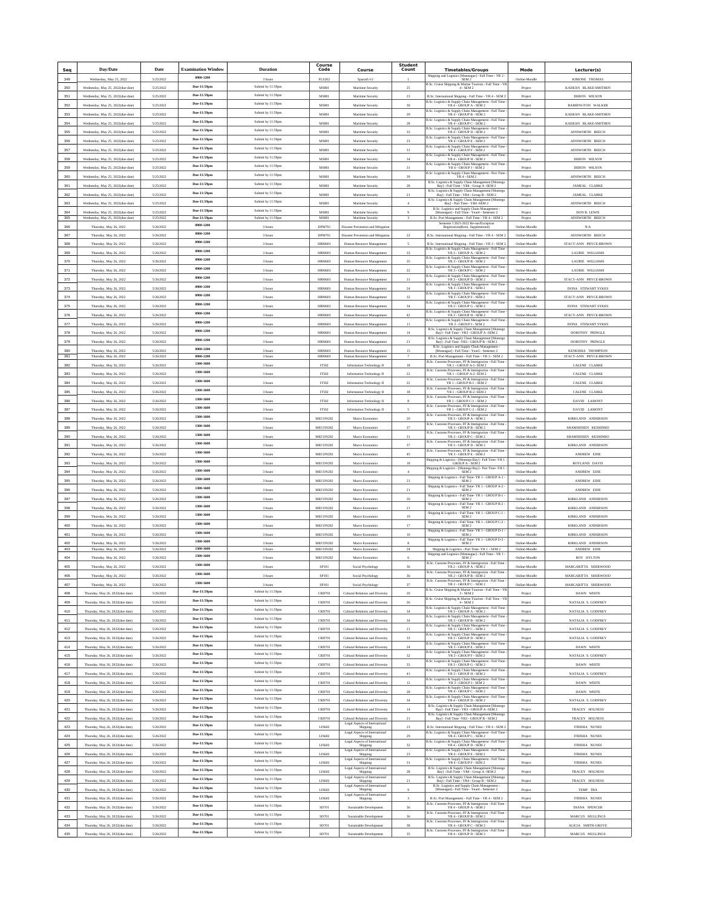|     | Day/Date                          | Date      | <b>Examination Window</b> |                              | Course<br>Code | Course                                                                                      | <b>Student</b> |                                                                                                                                                      | Mode               |                           |
|-----|-----------------------------------|-----------|---------------------------|------------------------------|----------------|---------------------------------------------------------------------------------------------|----------------|------------------------------------------------------------------------------------------------------------------------------------------------------|--------------------|---------------------------|
| Seq |                                   |           | 0900-1200                 | <b>Duration</b>              |                |                                                                                             | Count          | <b>Timetables/Groups</b><br>Shipping and Logistics [Moneague] - Full Time - YR $2$ - ${\bf SEM}\,2$                                                  |                    | Lecturer(s)               |
| 349 | Wednesday, May 25, 2022           | 5/25/2022 | Due-11:59pm               | 3 hours<br>Submit by 11:59pm | <b>FLS202</b>  | Spanish I-2                                                                                 |                | B.Sc. Cruise Shipping & Marine Tourism - Full Time - YR                                                                                              | Online-Moodle      | KIMONE THOMAS             |
| 350 | Wednesday, May 25, 2022(due date) | 5/25/2022 | Due-11:59pm               | Submit by 11:59pm            | MS801          | Maritime Security                                                                           | $2\mathsf{S}$  | 4 - SEM 2                                                                                                                                            | Project            | KADEAN BLAKE-SMITHEN      |
| 351 | Wednesday, May 25, 2022(due date) | 5/25/2022 |                           |                              | MS801          | Maritime Security                                                                           | $23\,$         | B.Sc. International Shipping - Full Time - YR 4 - SEM 2<br>B.Sc. Logistics & Supply Chain Management - Full Time                                     | Project            | DERON WILSON              |
| 352 | Wednesday, May 25, 2022(due date) | 5/25/2022 | Due-11:59pm               | Submit by 11:59pm            | MS801          | Maritime Security                                                                           | 30             | YR4 - GROUP A - SEM 2<br>B.Sc. Logistics & Supply Chain Management - Full Time                                                                       | Project            | <b>BARRINGTON WALKER</b>  |
| 353 | Wednesday, May 25, 2022(due date) | 5/25/2022 | Due-11:59pm               | Submit by 11:59pm            | MS801          | Maritime Security                                                                           | 29             | YR 4 - GROUP B - SEM 2                                                                                                                               | Project            | KADEAN BLAKE-SMITHEN      |
| 354 | Wednesday, May 25, 2022(due date) | 5/25/2022 | Due-11:59pm               | Submit by 11:59pn            | MS801          | Maritime Security                                                                           | $_{28}$        | B.Sc. Logistics & Supply Chain Management - Full Time<br>YR 4 - GROUP C - SEM 2                                                                      | Project            | KADEAN BLAKE-SMITHEN      |
| 355 | Wednesday, May 25, 2022(due date) | 5/25/2022 | Due-11:59pm               | Submit by 11:59pm            | MS801          | Maritime Security                                                                           | 33             | B.Sc. Logistics & Supply Chain Management - Full Time $\,$ YR 4 - GROUP D - SEM $2$                                                                  | Project            | AINSWORTH BEECH           |
| 356 | Wednesday, May 25, 2022(due date) | 5/25/2022 | Due-11:59pm               | Submit by 11:59pm            | MS801          | Maritime Security                                                                           | $23\,$         | B.Sc. Logistics & Supply Chain Management - Full Time<br>YR 4 - GROUP E - SEM 2                                                                      | Project            | AINSWORTH BEECH           |
| 357 | Wednesday, May 25, 2022(due date) | 5/25/2022 | Due-11:59pm               | Submit by 11:59pm            | MS801          | Maritime Security                                                                           | 31             | B.Sc. Logistics & Supply Chain Management - Full Time<br>YR 4 - GROUP F - SEM 2                                                                      | Project            | AINSWORTH BEECH           |
| 358 | Wednesday, May 25, 2022(due date) | 5/25/2022 | Due-11:59pm               | Submit by 11:59pm            | MS801          | Maritime Security                                                                           | 34             | B.Sc. Logistics & Supply Chain Management - Full Time<br>YR 4 - GROUP H - SEM 2                                                                      | Project            | DERON WILSON              |
| 359 | Wednesday, May 25, 2022(due date) | 5/25/2022 | Due-11:59pm               | Submit by 11:59pn            | MS801          | Maritime Security                                                                           | $_{\rm 31}$    | B.Sc. Logistics & Supply Chain Management - Full Time $$\mbox{YR4}\xspace$ - GROUP J - SEM $2$                                                       | Project            | DERON WILSON              |
| 360 | Wednesday, May 25, 2022(due date) | 5/25/2022 | Due-11:59pm               | Submit by 11:59pm            | MS801          | Maritime Security                                                                           | 39             | B.Sc. Logistics & Supply Chain Management - Part Time $$\rm YR\,4$$ - SEM $2$                                                                        | Project            | AINSWORTH BEECH           |
| 361 | Wednesday, May 25, 2022(due date) | 5/25/2022 | Due-11:59pm               | Submit by 11:59pm            | MS801          | Maritime Security                                                                           | 28             | ${\rm B. Sc.~Logistics~\&~Supply~Chain~Managerment~[Montegc~ByJ - Full~Time - YR4 - Group~A - SEM~2}$                                                | Project            | JAMEAL CLARKE             |
| 362 | Wednesday, May 25, 2022(due date) | 5/25/2022 | Due-11:59pm               | Submit by 11:59pm            | MS801          | Maritime Security                                                                           | $_{\rm 21}$    | B.Sc. Logistics & Supply Chain Management [Montego<br>Bayl - Full Time - YR4 - Group B - SEM 2                                                       | Project            | JAMEAL CLARKE             |
| 363 | Wednesday, May 25, 2022(due date) | 5/25/2022 | Due-11:59pm               | Submit by 11:59pm            | MS801          | Maritime Security                                                                           | $\Delta$       | B.Sc. Logistics & Supply Chain Management [Montego<br>Bay] - Part Time - YR4 -SEM 2                                                                  | Project            | AINSWORTH BEECH           |
| 364 | Wednesday, May 25, 2022(due date) | 5/25/2022 | Due-11:59pm               | Submit by 11:59pn            | MS801          | Maritime Security                                                                           |                | B.Sc. Logistics and Supply Chain Management [Moneague] - Full Time - Year<br>4 - Semester 2                                                          |                    | <b>DON R. LEWIS</b>       |
| 365 | Wednesday, May 25, 2022(due date) | 5/25/2022 | Due-11:59pm               | Submit by 11:59pm            | MS801          | Maritime Security                                                                           |                | B.Sc. Port Management - Full Time - YR 4 - SEM 2                                                                                                     | Project<br>Project | AINSWORTH BEECH           |
| 366 | Thursday, May 26, 2022            | 5/26/2022 | 0900-1200                 | 3 hours                      | DPM701         | Disaster Prevention and Mitigation                                                          |                | Semester I 2021-2022 Re-run/Exceptio<br>Registration(Resit, Supplemental)                                                                            | Online-Moodle      | N/A                       |
| 367 | Thursday, May 26, 2022            | 5/26/2022 | 0900-1200                 | 3 hours                      | <b>DPM701</b>  | Disaster Prevention and Mitigation                                                          | $22\,$         | B.Sc. International Shipping - Full Time - YR 4 - SEM 2                                                                                              | Online-Moodle      | AINSWORTH BEECH           |
| 368 | Thursday, May 26, 2022            | 5/26/2022 | 0900-1200                 | 3 hours                      | <b>HRM601</b>  | Human Resource Management                                                                   |                | B.Sc. International Shipping - Full Time - YR 3 - SEM 2                                                                                              | Online-Moodle      | STACY-ANN PRYCE-BROWN     |
| 369 | Thursday, May 26, 2022            | 5/26/2022 | 0900-1200                 | 3 hours                      | <b>HRM601</b>  | Human Resource Management                                                                   | 33             | B.Sc. Logistics & Supply Chain Management - Full Time<br>YR 3 - GROUP A - SEM 2                                                                      | Online-Moodle      | LAURIE WILLIAMS           |
| 370 | Thursday, May 26, 2022            | 5/26/2022 | 0900-1200                 | 3 hours                      | <b>HRM601</b>  | Human Resource Management                                                                   | 35             | B.Sc. Logistics & Supply Chain Management - Full Time<br>YR 3 - GROUP B - SEM 2                                                                      | Online-Moodle      | LAURIE WILLIAMS           |
| 371 | Thursday, May 26, 2022            | 5/26/2022 | 0900-1200                 | 3 hours                      | <b>HRM601</b>  | Human Resource Management                                                                   | 22             | B.Sc. Logistics & Supply Chain Management - Full Time<br>YR 3 - GROUP C - SEM 2                                                                      | Online-Moodle      | <b>LAURIE WILLIAMS</b>    |
| 372 | Thursday, May 26, 2022            | 5/26/2022 | 0900-1200                 | 3 hours                      | <b>HRM60</b>   | Human Resource Management                                                                   | $_{31}$        | B.Sc. Logistics & Supply Chain Management - Full Time<br>YR 3 - GROUP D - SEM 2                                                                      | Online-Moodl       | STACY-ANN PRYCE-BROWN     |
|     |                                   |           | 0900-1200                 |                              |                |                                                                                             |                | B.Sc. Logistics & Supply Chain Management - Full Time<br>YR 3 - GROUP E - SEM 2                                                                      |                    |                           |
| 373 | Thursday, May 26, 2022            | 5/26/2022 | 0900-1200                 | 3 hours                      | <b>HRM601</b>  | Human Resource Management                                                                   | $^{24}$        | B.Sc. Logistics & Supply Chain Manageme<br>YR 3 - GROUP F - SEM 2<br>- Full Time                                                                     | Online-Moodle      | <b>DONA STEWART SYKES</b> |
| 374 | Thursday, May 26, 2022            | 5/26/2022 |                           | 3 hours                      | <b>HRM60</b>   | Human Resource Management                                                                   | 32             | B.Sc. Logistics & Supply Chain Management - Full Time                                                                                                | Online-Moodle      | STACY-ANN PRYCE-BROWN     |
| 375 | Thursday, May 26, 2022            | 5/26/2022 | 0900-1200                 | 3 hours                      | <b>HRM601</b>  | Human Resource Management                                                                   | 34             | YR3 - GROUP G - SEM 2<br>B.Sc. Logistics & Supply Chain Management - Full Time                                                                       | Online-Moodle      | <b>DONA STEWART SYKES</b> |
| 376 | Thursday, May 26, 2022            | 5/26/2022 | 0900-1200                 | 3 hours                      | <b>HRM601</b>  | Human Resource Management                                                                   | 42             | YR3 - GROUP H - SEM 2<br>B.Sc. Logistics & Supply Chain Managem<br>ent - Full Time                                                                   | Online-Moodle      | STACY-ANN PRYCE-BROWN     |
| 377 | Thursday, May 26, 2022            | 5/26/2022 | 0900-1200                 | 3 hours                      | <b>HRM60</b>   | Human Resource Management                                                                   | $11\,$         | YR 3 - GROUP I - SEM 2<br>TMontego                                                                                                                   | Online-Moodl       | <b>DONA STEWART SYKES</b> |
| 378 | Thursday, May 26, 2022            | 5/26/2022 | 0900-1200                 | 3 hours                      | <b>HRM601</b>  | Human Resource Management                                                                   | $14\,$         | B.Sc. Logistics & Supply Chain Management [Mor<br>Bay] - Full Time - YR3 - GROUP A -SEM 2                                                            | Online-Moodle      | DOROTHY PRINGLE           |
| 379 | Thursday, May 26, 2022            | 5/26/2022 | 0900-1200                 | 3 hours                      | <b>HRM601</b>  | Human Resource Management                                                                   | $_{\rm 21}$    | ${\rm B. Sc.~Logistics~\&~Supply~Chain~Management~[Montego~\t\t\\Bay] - Full Time -YR3 - GROUP~B - SEM~2}$                                           | Online-Moodle      | DOROTHY PRINGLE           |
| 380 | Thursday, May 26, 2022            | 5/26/2022 | 0900-1200                 | 3 hours                      | <b>HRM601</b>  | Human Resource Management                                                                   | 15             | B.Sc. Logistics and Supply Chain Management<br>[Moneague] - Full Time - Year3 - Semester 2                                                           | Online-Moodle      | <b>KENEISHA THOMPSON</b>  |
| 381 | Thursday, May 26, 2022            | 5/26/2022 | 0900-1200<br>1300-1600    | 3 hours                      | <b>HRM601</b>  | Human Resource Management                                                                   |                | B.Sc. Port Management - Full Time - YR 3 - SEM 2<br>B.Sc. Customs Processes, FF & Immigration - Full Time<br>YR 1 - GROUP A-1- SEM 2                 | Online-Moodle      | STACY-ANN PRYCE-BROWN     |
| 382 | Thursday, May 26, 2022            | 5/26/2022 |                           | 3 hours                      | <b>IT502</b>   | Information Technology II                                                                   | 18             | B.Sc. Customs Processes, FF & Immigration - Full Time                                                                                                | Online-Moodle      | CALENE CLARKE             |
| 383 | Thursday, May 26, 2022            | 5/26/2022 | 1300-1600                 | 3 hours                      | IT502          | Information Technology II                                                                   | $\bf 22$       | YR 1 - GROUP A-2- SEM 2<br>B.Sc. Cus<br>ns Processes, FF & Immigration - Full Time                                                                   | Online-Moodle      | CALENE CLARKE             |
| 384 | Thursday, May 26, 2022            | 5/26/2022 | 1300-1600                 | 3 hours                      | IT502          | Information Technology II                                                                   | $22\,$         | YR 1 - GROUP B-1 - SEM 2<br><b>B.Sc. Custo</b>                                                                                                       | Online-Moodle      | CALENE CLARKE             |
| 385 | Thursday, May 26, 2022            | 5/26/2022 | 1300-1600                 | 3 hours                      | <b>IT502</b>   | Information Technology II                                                                   | 18             | ms Processes, FF & Immigration - Full Time<br>YR 1 - GROUP B-2- SEM 2                                                                                | Online-Moodle      | CALENE CLARKE             |
| 386 | Thursday, May 26, 2022            | 5/26/2022 | 1300-1600                 | 3 hours                      | <b>IT502</b>   | Information Technology II                                                                   |                | B.Sc. Customs Processes, FF & Immigration - Full Time<br>YR 1 - GROUP C-1 - SEM 2                                                                    | Online-Moodle      | DAVID LAMONT              |
| 387 | Thursday, May 26, 2022            | 5/26/2022 | 1300-1600                 | 3 hours                      | <b>IT502</b>   | Information Technology II                                                                   |                | B.Sc. Customs Processes, FF & Immigration - Full Time<br>YR 1 - GROUP C-2 - SEM 2                                                                    | Online-Moodle      | DAVID LAMONT              |
| 388 | Thursday, May 26, 2022            | 5/26/2022 | 1300-1600                 | 3 hours                      | MECON202       | Macro Economics                                                                             | $20\,$         | B.Sc. Customs Processes, FF & Immigration - Full Time<br>YR 3 - GROUP A - SEM 2                                                                      | Online-Moodle      | KIRKLAND ANDERSON         |
| 389 | Thursday, May 26, 2022            | 5/26/2022 | 1300-1600                 | 3 hours                      | MECON202       | Macro Economics                                                                             | 37             | B.Sc. Cus<br>us Processes, FF & Immigration - Full Time<br>YR 3 - GROUP B - SEM 2                                                                    | Online-Moodle      | SHAMSIDEEN KESHINRO       |
| 390 | Thursday, May 26, 2022            | 5/26/2022 | 1300-1600                 | 3 hours                      | MECON202       | Macro Economics                                                                             | 31             | B.Sc. Customs Processes, FF & Immigration - Full Time<br>YR 3 - GROUP C - SEM 2                                                                      | Online-Moodle      | SHAMSIDEEN KESHINRO       |
| 391 | Thursday, May 26, 2022            | 5/26/2022 | 1300-1600                 | 3 hours                      | MECON202       | Macro Economics                                                                             | 37             | ns Processes, FF & Immigration - Full Time<br><b>B.Sc. Custo</b><br>YR 3 - GROUP D - SEM 2                                                           | Online-Moodle      | KIRKLAND ANDERSON         |
| 392 | Thursday, May 26, 2022            | 5/26/2022 | 1300-1600                 | 3 hours                      | MECON202       | Macro Economics                                                                             | 45             | B.Sc. Customs Processes, FF & Immigration - Full Time<br>YR 3 - GROUP E - SEM 2                                                                      | Online-Moodle      | ANDREW EDIE               |
| 393 |                                   |           | 1300-1600                 |                              |                |                                                                                             |                | Shipping & Logistics - [Montego Bay] - Full Time -YR 1 - GROUP A - SEM 2                                                                             | Online-Moodle      |                           |
| 394 | Thursday, May 26, 2022            | 5/26/2022 | 1300-1600                 | 3 hours                      | MECON202       | Macro Economics                                                                             | 18<br>$\Delta$ | Shipping & Logistics - [Montego Bay] - Part Time -YR 1<br>SEM 2                                                                                      | Online-Moodl       | ROYLAND DAVIS             |
|     | Thursday, May 26, 2022            | 5/26/2022 | 1300-1600                 | 3 hour                       | MECON202       | Macro Economics                                                                             |                | $\begin{array}{l} \mbox{Shipping & Logistics - Full Time- YR 1 - GROUP A-1} \\ \mbox{SEM 2} \end{array}$                                             |                    | ANDREW EDIE               |
| 395 | Thursday, May 26, 2022            | 5/26/2022 | 1300-1600                 | 3 hours                      | MECON202       | Macro Economics                                                                             | $_{\rm 21}$    | Shipping & Logistics - Full Time-YR 1 - GROUP A-2 -                                                                                                  | Online-Moodle      | ANDREW EDIE               |
| 396 | Thursday, May 26, 2022            | 5/26/2022 |                           | 3 hours                      | MECON202       | Macro Economics                                                                             | $_{\rm 21}$    | SEM <sub>2</sub><br>Shipping & Logistics - Full Time-YR 1 - GROUP B-1 -                                                                              | Online-Moodle      | ANDREW EDIE               |
| 397 | Thursday, May 26, 2022            | 5/26/2022 | 1300-1600                 | 3 hours                      | MECON202       | Macro Economics                                                                             | 20             | SEM <sub>2</sub><br>Shipping & Logistics - Full Time-YR 1 - GROUP B-2 -                                                                              | Online-Moodle      | <b>KIRKLAND ANDERSON</b>  |
| 398 | Thursday, May 26, 2022            | 5/26/2022 | 1300-1600                 | 3 hours                      | MECON202       | Macro Economics                                                                             | $^{21}$        | SEM <sub>2</sub>                                                                                                                                     | Online-Moodle      | KIRKLAND ANDERSON         |
| 399 | Thursday, May 26, 2022            | 5/26/2022 | 1300-1600                 | 3 hour                       | MECON202       | Macro Economics                                                                             | 19             | $\begin{array}{c} \mbox{Shipping & Logistics - Full Time- YR 1 - GROUP C-1}\\ \mbox{SEM 2} \end{array}$                                              | Online-Moodl       | KIRKLAND ANDERSON         |
| 400 | Thursday, May 26, 2022            | 5/26/2022 | 1300-1600                 | 3 hours                      | MECON202       | Macro Economics                                                                             | 17             | $\begin{array}{c} \mbox{Shipping &\textbf{Logistics - Full Time- YR 1 - GROUP C-2} }\\ \mbox{SEM 2} \end{array}$                                     | Online-Moodle      | KIRKLAND ANDERSON         |
| 401 | Thursday, May 26, 2022            | 5/26/2022 | 1300-1600                 | 3 hours                      | MECON202       | Macro Economics                                                                             | 10             | Shipping & Logistics - Full Time-YR 1 - GROUP D-1 -<br>SEM <sub>2</sub>                                                                              | Online-Moodle      | KIRKLAND ANDERSON         |
| 402 | Thursday, May 26, 2022            | 5/26/2022 | 1300-1600                 | 3 hours                      | MECON202       | Macro Economics                                                                             | R.             | Shipping & Logistics - Full Time-YR 1 - GROUP D-2 -<br>SEM <sub>2</sub>                                                                              | Online-Moodle      | KIRKLAND ANDERSON         |
| 403 | Thursday, May 26, 2022            | 5/26/2022 | 1300-1600                 | 3 hours                      | MECON202       | Macro Economics                                                                             | 24             | Shipping & Logistics - Part Time-YR 1 - SEM 2<br>Shipping and Logistics [Moneague] - Full Time - YR 1 -                                              | Online-Moodle      | ANDREW EDIE               |
| 404 | Thursday, May 26, 2022            | 5/26/2022 | 1300-1600                 | 3 hour                       | MECON202       | Macro Economics                                                                             |                | SEM <sub>2</sub>                                                                                                                                     | Online-Moodle      | ROY HYLTON                |
| 405 | Thursday, May 26, 2022            | 5/26/2022 | 1300-1600                 | 3 hours                      | SP101          | Social Psychology                                                                           | 36             | B.Sc. Customs Processes, FF & Immigration - Full Time $$\mbox{YR}~2$$ - GROUP A - SEM $2$<br>B.Sc. Customs Processes, FF & Immigration - Full Time - | Online-Moodle      | MARGARITTA SHERWOOD       |
| 406 | Thursday, May 26, 202             | 5/26/2025 | 1300-1600                 | 3 hour                       | SP101          | Social Psycholog                                                                            | 36             | YR 2 - GROUP B - SEM 2                                                                                                                               | Online-Moodle      | MARGARITTA SHERWOOD       |
| 407 | Thursday, May 26, 2022            | 5/26/2022 | 1300-1600                 | 3 hours                      | SP101          | Social Psychology                                                                           | 37             | B.Sc. Customs Processes, FF & Immigration - Full Time - YR 2 - GROUP C - SEM 2                                                                       | Online-Moodle      | MARGARITTA SHERWOOD       |
| 408 | Thursday, May 26, 2022/due date)  | 5/26/2022 | Due-11:59pm               | Submit by 11:59pm            | <b>CRD701</b>  | Cultural Relations and Diversity                                                            | 20             | B.Sc. Cruise Shipping & Marine Tourism - Full Time - YR $3$ - SEM $2$                                                                                | Project            | DAWN WHITE                |
| 409 | Thursday, May 26, 2022(due date)  | 5/26/2022 | Due-11:59pm               | Submit by 11:59pn            | <b>CRD701</b>  | Cultural Relations and Diversity                                                            | 26             | B.Sc. Cruise Shipping & Marine Tourism - Full Time - YR<br>$4 - SEM2$                                                                                | Project            | NATALIA S. GODFREY        |
| 410 | Thursday, May 26, 2022(due date)  | 5/26/2022 | Due-11:59pm               | Submit by 11:59pm            | <b>CRD701</b>  | Cultural Relations and Diversity                                                            | 34             | B.Sc. Logistics & Supply Chain Management - Full Time $$\rm YR\,3$$ - GROUP A - SEM $2$                                                              | Project            | NATALIA S. GODFREY        |
| 411 | Thursday, May 26, 2022(due date)  | 5/26/2022 | Due-11:59pm               | Submit by 11:59pm            | <b>CRD701</b>  | Cultural Relations and Diversity                                                            | 34             | B.Sc. Logistics & Supply Chain Management - Full Time<br>YR $3$ - GROUP B - SEM $2$                                                                  | Project            | NATALIA S. GODFREY        |
| 412 | Thursday, May 26, 2022(due date)  | 5/26/2022 | Due-11:59pm               | Submit by 11:59pm            | CRD701         | Cultural Relations and Diversity                                                            | $_{\rm 21}$    | B.Sc. Logistics & Supply Chain Management - Full Time - YR 3 - GROUP C - SEM 2                                                                       | Project            | NATALIA S. GODFREY        |
| 413 | Thursday, May 26, 2022(due date)  | 5/26/2022 | Due-11:59pm               | Submit by 11:59pm            | <b>CRD701</b>  | Cultural Relations and Diversity                                                            | 33             | B.Sc. Logistics & Supply Chain Management - Full Time<br>YR 3 - GROUP D - SEM 2                                                                      | Project            | NATALIA S. GODFREY        |
| 414 | Thursday, May 26, 2022(due date)  | 5/26/2022 | Due-11:59pm               | Submit by 11:59pm            | CRD701         | Cultural Relations and Diversity                                                            | $\bf 24$       | B.Sc. Logistics & Supply Chain Management - Full Time<br>YR 3 - GROUP E - SEM 2                                                                      | Project            | DAWN WHITE                |
| 415 | Thursday, May 26, 2022(due date)  | 5/26/2022 | Due-11:59pm               | Submit by 11:59pn            | CRD701         | Cultural Relations and Diversity                                                            | $_{32}$        | B.Sc. Logistics & Supply Chain Management - Full Time<br>YR 3 - GROUP F - SEM 2                                                                      | Project            | NATALIA S. GODFREY        |
| 416 | Thursday, May 26, 2022(due date)  | 5/26/2022 | Due-11:59pm               | Submit by 11:59pm            | <b>CRD701</b>  | Cultural Relations and Diversity                                                            | 33             | B.Sc. Logistics & Supply Chain Management - Full Time $\,$ YR 3 - GROUP G - SEM $2$                                                                  | Project            | DAWN WHITE                |
| 417 | Thursday, May 26, 2022(due date)  | 5/26/2022 | Due-11:59pm               | Submit by 11:59pm            | CRD701         | Cultural Relations and Diversity                                                            | $41\,$         | B.Sc. Logistics & Supply Chain Management - Full Time<br>YR 3 - GROUP H - SEM 2                                                                      |                    | NATALIA S. GODFREY        |
|     |                                   |           | Due-11:59pm               | Submit by 11:59pm            |                |                                                                                             |                | B.Sc. Logistics & Supply Chain Management - Full Time                                                                                                | Project            |                           |
| 418 | Thursday, May 26, 2022(due date)  | 5/26/2022 | Due-11:59pm               | Submit by 11:59pm            | <b>CRD701</b>  | Cultural Relations and Diversity                                                            | $12\,$         | YR 3 - GROUP I - SEM 2<br>B.Sc. Logistics & Supply Chain Management - Full Time<br>YR 4 - GROUP C - SEM 2                                            | Project            | DAWN WHITE                |
| 419 | Thursday, May 26, 2022(due date)  | 5/26/2022 | Due-11:59pm               | Submit by 11:59pn            | CRD701         | Cultural Relations and Diversity                                                            | 28             | B.Sc. Logistics & Supply Chain Management - Full Time                                                                                                | Project            | DAWN WHITE                |
| 420 | Thursday, May 26, 2022(due date)  | 5/26/2022 |                           | Submit by 11:59pm            | CRD701         | Cultural Relations and Diversity                                                            | $_{\rm 34}$    | YR4 - GROUP D - SEM 2                                                                                                                                | Project            | NATALIA S. GODFREY        |
| 421 | Thursday, May 26, 2022(due date)  | 5/26/2022 | Due-11:59pm               |                              | <b>CRD701</b>  | Cultural Relations and Diversity                                                            | 14             | ${\rm B.Sc.~Logistics~\&~Supply~Chain~Management~[Monetgo~\\~Bay]~- Full~Time~-YR3~-~GROUP~A~-SEM~2}$                                                | Project            | TRACEY HOLNESS            |
| 422 | Thursday, May 26, 2022(due date)  | 5/26/2022 | Due-11:59pm               | Submit by 11:59pm            | CRD701         | Cultural Relations and Diversity<br>Legal Aspects of International                          | 21             | B.Sc. Logistics & Supply Chain Management [Montego<br>Bay] - Full Time -YR3 - GROUP B - SEM 2                                                        | Project            | TRACEY HOLNESS            |
| 423 | Thursday, May 26, 2022(due date)  | 5/26/2022 | Due-11:59pm               | Submit by 11:59pm            | LIS602         | Shipping                                                                                    | 23             | B.Sc. International Shipping - Full Time - YR 4 - SEM 2                                                                                              | Project            | <b>ITRISHA NUNES</b>      |
| 424 | Thursday, May 26, 2022(due date)  | 5/26/2022 | Due-11:59pm               | Submit by 11:59pm            | LIS602         | Legal Aspects of International<br>Ship                                                      | 29             | B.Sc. Logistics & Supply Chain Management - Full Time<br>YR 4 - GROUP C - SEM 2                                                                      | Project            | <b>ITRISHA NUNES</b>      |
| 425 | Thursday, May 26, 2022(due date)  | 5/26/2022 | Due-11:59pm               | Submit by 11:59pn            | LIS602         | Legal Aspects of International<br>Shipping                                                  | $_{32}$        | B.Sc. Logistics & Supply Chain Management - Full Time<br>YR4 - GROUP D - SEM 2                                                                       | Project            | ITRISHA NUNES             |
| 426 | Thursday, May 26, 2022(due date)  | 5/26/2022 | Due-11:59pm               | Submit by 11:59pm            | LIS602         | Legal Aspects of International<br>Shipping                                                  | $23\,$         | B.Sc. Logistics & Supply Chain Management - Full Time $$\rm YR\,4$$ - GROUP E - SEM 2                                                                | Project            | ITRISHA NUNES             |
| 427 | Thursday, May 26, 2022(due date)  | 5/26/2022 | Due-11:59pm               | Submit by 11:59pm            | LIS602         | Legal Aspects of International<br>Shipping                                                  | 31             | B.Sc. Logistics & Supply Chain Management - Full Time<br>YR 4 - GROUP F - SEM 2                                                                      | Project            | <b>ITRISHA NUNES</b>      |
| 428 | Thursday, May 26, 2022(due date)  | 5/26/2022 | Due-11:59pm               | Submit by 11:59pm            | LIS602         | Legal Aspects of Interna<br>Shipping                                                        | 28             | B.Sc. Logistics & Supply Chain Management [Montego<br>Bay] - Full Time - YR4 - Group A -SEM 2                                                        | Project            | TRACEY HOLNESS            |
| 429 | Thursday, May 26, 2022(due date)  | 5/26/2022 | Due-11:59pm               | Submit by 11:59pm            | LIS602         | Legal Aspects of International<br>Shipping                                                  | 21             | B.Sc. Logistics & Supply Chain Management [Montego<br>Bay] - Full Time - YR4 - Group B - SEM 2                                                       | Project            | <b>TRACEY HOLNESS</b>     |
| 430 | Thursday, May 26, 2022(due date)  | 5/26/2022 | Due-11:59pm               | Submit by 11:59pn            | LIS602         | Legal Aspects of International<br>Shipping                                                  |                | B.Sc. Logistics and Supply Chain Management [Moneague] - Full Time - Year4 - Semester 2                                                              | Project            | TEMP TBA                  |
| 431 | Thursday, May 26, 2022(due date)  | 5/26/2022 | Due-11:59pm               | Submit by 11:59pm            | LIS602         | $\begin{array}{c} \textbf{Legal Aspects of International} \\ \textbf{Shipping} \end{array}$ |                | B.Sc. Port Management - Full Time - YR 4 - SEM 2                                                                                                     |                    | ITRISHA NUNES             |
| 432 |                                   | 5/26/2022 | Due-11:59pm               | Submit by 11:59pm            | SD701          |                                                                                             | 36             | <b>B.Sc. Custo</b><br>Processes, FF & Immigration<br>YR 4 - GROUP A - SEM 2<br>ation - Full Time                                                     | Project            | DIANA SPENCER             |
|     | Thursday, May 26, 2022(due date)  |           | Due-11:59pm               | Submit by 11:59pm            |                | Sustainable Development                                                                     |                | s Processes, FF & Immigration - Full Time<br>YR 4 - GROUP B - SEM 2<br><b>B.Sc. Cust</b>                                                             | Project            |                           |
| 433 | Thursday, May 26, 2022(due date)  | 5/26/2022 | Due-11:59pm               | Submit by 11:59pm            | SD701          | Sustainable Development                                                                     | 36             | B.Sc. Customs Processes, FF & Immigration - Full Time -                                                                                              | Project            | MARCUS MULLINGS           |
| 434 | Thursday, May 26, 2022(due date)  | 5/26/2022 | Due-11:59pm               | Submit by 11:59pm            | SD701          | Sustainable Development                                                                     | 38             | YR 4 - GROUP C - SEM 2<br>B.Sc. Customs Processes, FF & Immigration - Full Time                                                                      | Project            | ALICIA SMITH-GROVE        |
| 435 | Thursday, May 26, 2022(due date)  | 5/26/2022 |                           |                              | SD701          | Sustainable Development                                                                     | $35\,$         | YR4 - GROUP D - SEM 2                                                                                                                                | Project            | MARCUS MULLINGS           |